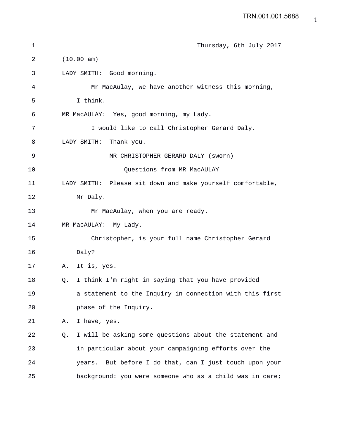```
1 Thursday, 6th July 2017
2 (10.00 am)
3 LADY SMITH: Good morning.
4 Mr MacAulay, we have another witness this morning,
5 I think.
6 MR MacAULAY: Yes, good morning, my Lady.
7 I would like to call Christopher Gerard Daly.
8 LADY SMITH: Thank you.
9 MR CHRISTOPHER GERARD DALY (sworn)
10 Questions from MR MacAULAY
11 LADY SMITH: Please sit down and make yourself comfortable,
12 Mr Daly.
13 Mr MacAulay, when you are ready.
14 MR MacAULAY: My Lady.
15 Christopher, is your full name Christopher Gerard
16 Daly?
17 A. It is, yes.
18 Q. I think I'm right in saying that you have provided
19 a statement to the Inquiry in connection with this first
20 phase of the Inquiry.
21 A. I have, yes.
22 Q. I will be asking some questions about the statement and
23 in particular about your campaigning efforts over the
24 years. But before I do that, can I just touch upon your
25 background: you were someone who as a child was in care;
```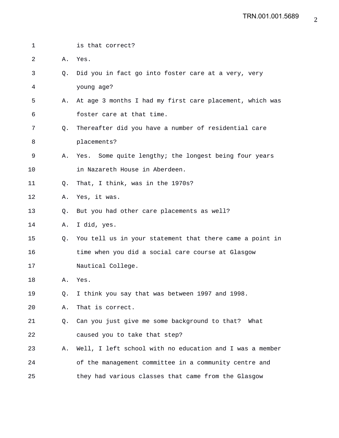| 1  |             | is that correct?                                         |
|----|-------------|----------------------------------------------------------|
| 2  | Α.          | Yes.                                                     |
| 3  | $Q_{\star}$ | Did you in fact go into foster care at a very, very      |
| 4  |             | young age?                                               |
| 5  | Α.          | At age 3 months I had my first care placement, which was |
| 6  |             | foster care at that time.                                |
| 7  | $Q_{\star}$ | Thereafter did you have a number of residential care     |
| 8  |             | placements?                                              |
| 9  | Α.          | Yes. Some quite lengthy; the longest being four years    |
| 10 |             | in Nazareth House in Aberdeen.                           |
| 11 | Q.          | That, I think, was in the 1970s?                         |
| 12 | Α.          | Yes, it was.                                             |
| 13 | Q.          | But you had other care placements as well?               |
| 14 | Α.          | I did, yes.                                              |
| 15 | Q.          | You tell us in your statement that there came a point in |
| 16 |             | time when you did a social care course at Glasgow        |
| 17 |             | Nautical College.                                        |
| 18 | Α.          | Yes.                                                     |
| 19 | Q.          | I think you say that was between 1997 and 1998.          |
| 20 | Α.          | That is correct.                                         |
| 21 | Q.          | Can you just give me some background to that? What       |
| 22 |             | caused you to take that step?                            |
| 23 | Α.          | Well, I left school with no education and I was a member |
| 24 |             | of the management committee in a community centre and    |
| 25 |             | they had various classes that came from the Glasgow      |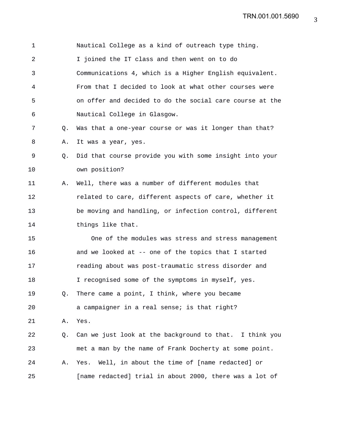1 Nautical College as a kind of outreach type thing. 2 I joined the IT class and then went on to do 3 Communications 4, which is a Higher English equivalent. 4 From that I decided to look at what other courses were 5 on offer and decided to do the social care course at the 6 Nautical College in Glasgow. 7 Q. Was that a one-year course or was it longer than that? 8 A. It was a year, yes. 9 Q. Did that course provide you with some insight into your 10 own position? 11 A. Well, there was a number of different modules that 12 related to care, different aspects of care, whether it 13 be moving and handling, or infection control, different 14 things like that. 15 One of the modules was stress and stress management 16 and we looked at -- one of the topics that I started 17 reading about was post-traumatic stress disorder and 18 I recognised some of the symptoms in myself, yes. 19 Q. There came a point, I think, where you became 20 a campaigner in a real sense; is that right? 21 A. Yes. 22 Q. Can we just look at the background to that. I think you 23 met a man by the name of Frank Docherty at some point. 24 A. Yes. Well, in about the time of [name redacted] or 25 [name redacted] trial in about 2000, there was a lot of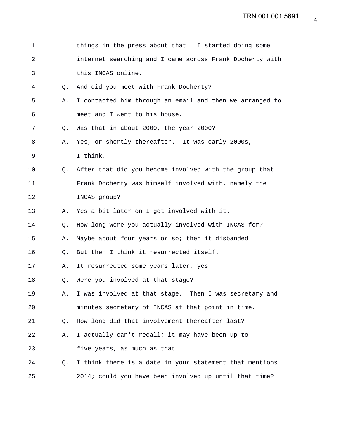| $\mathbf 1$    |                | things in the press about that. I started doing some     |
|----------------|----------------|----------------------------------------------------------|
| $\overline{2}$ |                | internet searching and I came across Frank Docherty with |
| 3              |                | this INCAS online.                                       |
| 4              | О.             | And did you meet with Frank Docherty?                    |
| 5              | Α.             | I contacted him through an email and then we arranged to |
| 6              |                | meet and I went to his house.                            |
| 7              | $Q_{\star}$    | Was that in about 2000, the year 2000?                   |
| 8              | Α.             | Yes, or shortly thereafter. It was early 2000s,          |
| 9              |                | I think.                                                 |
| 10             | O.             | After that did you become involved with the group that   |
| 11             |                | Frank Docherty was himself involved with, namely the     |
| 12             |                | INCAS group?                                             |
| 13             | Α.             | Yes a bit later on I got involved with it.               |
| 14             | Q.             | How long were you actually involved with INCAS for?      |
| 15             | Α.             | Maybe about four years or so; then it disbanded.         |
| 16             | O.             | But then I think it resurrected itself.                  |
| 17             | Α.             | It resurrected some years later, yes.                    |
| 18             | Q.             | Were you involved at that stage?                         |
| 19             | Α.             | I was involved at that stage. Then I was secretary and   |
| 20             |                | minutes secretary of INCAS at that point in time.        |
| 21             | Q <sub>z</sub> | How long did that involvement thereafter last?           |
| 22             | Α.             | I actually can't recall; it may have been up to          |
| 23             |                | five years, as much as that.                             |
| 24             | O.             | I think there is a date in your statement that mentions  |
| 25             |                | 2014; could you have been involved up until that time?   |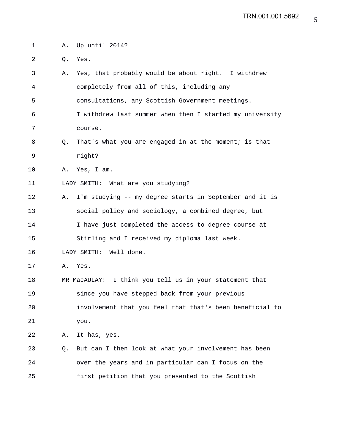| 1  | Α. | Up until 2014?                                           |
|----|----|----------------------------------------------------------|
| 2  | Q. | Yes.                                                     |
| 3  | Α. | Yes, that probably would be about right. I withdrew      |
| 4  |    | completely from all of this, including any               |
| 5  |    | consultations, any Scottish Government meetings.         |
| 6  |    | I withdrew last summer when then I started my university |
| 7  |    | course.                                                  |
| 8  | Q. | That's what you are engaged in at the moment; is that    |
| 9  |    | right?                                                   |
| 10 | Α. | Yes, I am.                                               |
| 11 |    | LADY SMITH: What are you studying?                       |
| 12 | Α. | I'm studying -- my degree starts in September and it is  |
| 13 |    | social policy and sociology, a combined degree, but      |
| 14 |    | I have just completed the access to degree course at     |
| 15 |    | Stirling and I received my diploma last week.            |
| 16 |    | LADY SMITH:<br>Well done.                                |
| 17 | Α. | Yes.                                                     |
| 18 |    | MR MacAULAY: I think you tell us in your statement that  |
| 19 |    | since you have stepped back from your previous           |
| 20 |    | involvement that you feel that that's been beneficial to |
| 21 |    | you.                                                     |
| 22 | Α. | It has, yes.                                             |
| 23 | Q. | But can I then look at what your involvement has been    |
| 24 |    | over the years and in particular can I focus on the      |
| 25 |    | first petition that you presented to the Scottish        |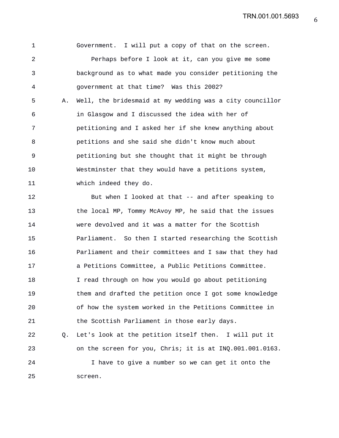1 Government. I will put a copy of that on the screen. 2 Perhaps before I look at it, can you give me some 3 background as to what made you consider petitioning the 4 government at that time? Was this 2002? 5 A. Well, the bridesmaid at my wedding was a city councillor 6 in Glasgow and I discussed the idea with her of 7 petitioning and I asked her if she knew anything about 8 petitions and she said she didn't know much about 9 petitioning but she thought that it might be through 10 Westminster that they would have a petitions system, 11 which indeed they do.

12 But when I looked at that -- and after speaking to 13 the local MP, Tommy McAvoy MP, he said that the issues 14 were devolved and it was a matter for the Scottish 15 Parliament. So then I started researching the Scottish 16 Parliament and their committees and I saw that they had 17 a Petitions Committee, a Public Petitions Committee. 18 I read through on how you would go about petitioning 19 them and drafted the petition once I got some knowledge 20 of how the system worked in the Petitions Committee in 21 the Scottish Parliament in those early days. 22 Q. Let's look at the petition itself then. I will put it

23 on the screen for you, Chris; it is at INQ.001.001.0163. 24 I have to give a number so we can get it onto the 25 screen.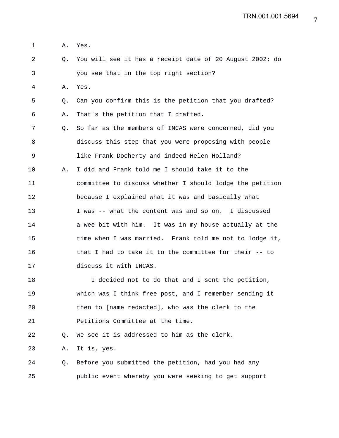1 A. Yes.

2 Q. You will see it has a receipt date of 20 August 2002; do 3 you see that in the top right section?

4 A. Yes.

5 Q. Can you confirm this is the petition that you drafted? 6 A. That's the petition that I drafted.

7 Q. So far as the members of INCAS were concerned, did you 8 discuss this step that you were proposing with people 9 like Frank Docherty and indeed Helen Holland?

10 A. I did and Frank told me I should take it to the 11 committee to discuss whether I should lodge the petition 12 because I explained what it was and basically what 13 I was -- what the content was and so on. I discussed 14 a wee bit with him. It was in my house actually at the 15 time when I was married. Frank told me not to lodge it, 16 that I had to take it to the committee for their -- to 17 discuss it with INCAS.

18 I decided not to do that and I sent the petition, 19 which was I think free post, and I remember sending it 20 then to [name redacted], who was the clerk to the 21 **Petitions Committee at the time.** 

22 Q. We see it is addressed to him as the clerk.

23 A. It is, yes.

24 Q. Before you submitted the petition, had you had any 25 public event whereby you were seeking to get support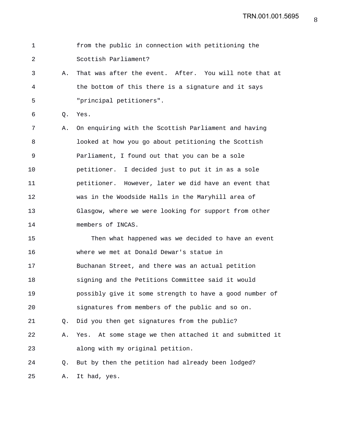1 from the public in connection with petitioning the 2 Scottish Parliament? 3 A. That was after the event. After. You will note that at 4 the bottom of this there is a signature and it says 5 "principal petitioners". 6 Q. Yes. 7 A. On enquiring with the Scottish Parliament and having 8 looked at how you go about petitioning the Scottish 9 Parliament, I found out that you can be a sole 10 petitioner. I decided just to put it in as a sole 11 petitioner. However, later we did have an event that 12 was in the Woodside Halls in the Maryhill area of 13 Glasgow, where we were looking for support from other 14 members of INCAS. 15 Then what happened was we decided to have an event 16 where we met at Donald Dewar's statue in 17 Buchanan Street, and there was an actual petition 18 signing and the Petitions Committee said it would 19 possibly give it some strength to have a good number of 20 signatures from members of the public and so on. 21 Q. Did you then get signatures from the public? 22 A. Yes. At some stage we then attached it and submitted it 23 along with my original petition. 24 Q. But by then the petition had already been lodged? 25 A. It had, yes.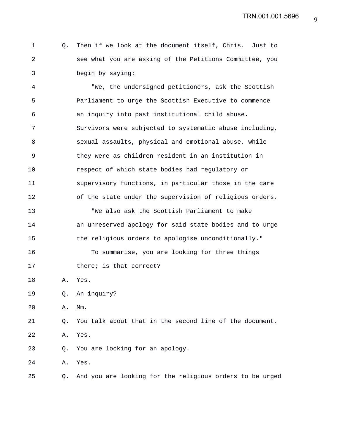1 Q. Then if we look at the document itself, Chris. Just to 2 see what you are asking of the Petitions Committee, you 3 begin by saying:

4 "We, the undersigned petitioners, ask the Scottish 5 Parliament to urge the Scottish Executive to commence 6 an inquiry into past institutional child abuse. 7 Survivors were subjected to systematic abuse including, 8 sexual assaults, physical and emotional abuse, while 9 they were as children resident in an institution in 10 respect of which state bodies had regulatory or 11 supervisory functions, in particular those in the care 12 of the state under the supervision of religious orders. 13 "We also ask the Scottish Parliament to make 14 an unreserved apology for said state bodies and to urge 15 the religious orders to apologise unconditionally." 16 To summarise, you are looking for three things 17 there; is that correct? 18 A. Yes. 19 Q. An inquiry? 20 A. Mm. 21 Q. You talk about that in the second line of the document. 22 A. Yes. 23 Q. You are looking for an apology. 24 A. Yes. 25 Q. And you are looking for the religious orders to be urged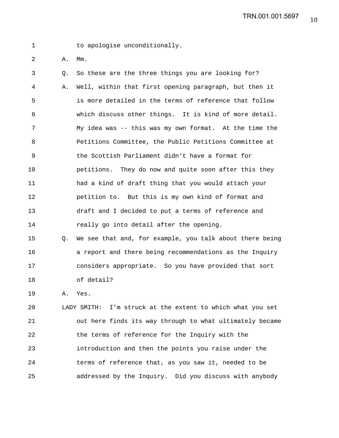1 to apologise unconditionally.

2 A. Mm.

3 Q. So these are the three things you are looking for? 4 A. Well, within that first opening paragraph, but then it 5 is more detailed in the terms of reference that follow 6 which discuss other things. It is kind of more detail. 7 My idea was -- this was my own format. At the time the 8 Petitions Committee, the Public Petitions Committee at 9 the Scottish Parliament didn't have a format for 10 petitions. They do now and quite soon after this they 11 had a kind of draft thing that you would attach your 12 petition to. But this is my own kind of format and 13 draft and I decided to put a terms of reference and 14 **really go into detail after the opening.** 

15 Q. We see that and, for example, you talk about there being 16 a report and there being recommendations as the Inquiry 17 considers appropriate. So you have provided that sort 18 of detail?

19 A. Yes.

20 LADY SMITH: I'm struck at the extent to which what you set 21 out here finds its way through to what ultimately became 22 the terms of reference for the Inquiry with the 23 introduction and then the points you raise under the 24 terms of reference that, as you saw it, needed to be 25 addressed by the Inquiry. Did you discuss with anybody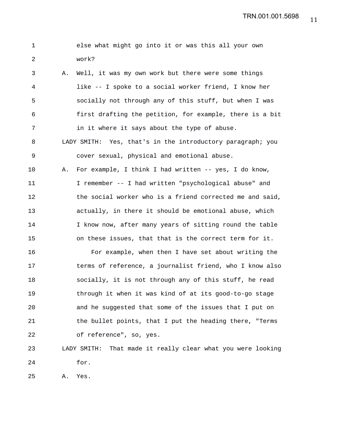1 else what might go into it or was this all your own 2 work? 3 A. Well, it was my own work but there were some things 4 like -- I spoke to a social worker friend, I know her 5 socially not through any of this stuff, but when I was 6 first drafting the petition, for example, there is a bit 7 in it where it says about the type of abuse. 8 LADY SMITH: Yes, that's in the introductory paragraph; you 9 cover sexual, physical and emotional abuse. 10 A. For example, I think I had written -- yes, I do know, 11 I remember -- I had written "psychological abuse" and 12 the social worker who is a friend corrected me and said, 13 actually, in there it should be emotional abuse, which 14 I know now, after many years of sitting round the table 15 on these issues, that that is the correct term for it. 16 For example, when then I have set about writing the 17 terms of reference, a journalist friend, who I know also 18 socially, it is not through any of this stuff, he read 19 through it when it was kind of at its good-to-go stage 20 and he suggested that some of the issues that I put on 21 the bullet points, that I put the heading there, "Terms 22 of reference", so, yes. 23 LADY SMITH: That made it really clear what you were looking 24 for. 25 A. Yes.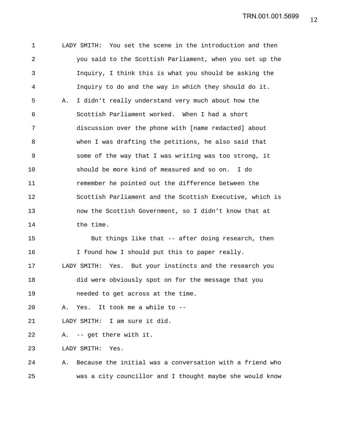1 LADY SMITH: You set the scene in the introduction and then 2 you said to the Scottish Parliament, when you set up the 3 Inquiry, I think this is what you should be asking the 4 Inquiry to do and the way in which they should do it. 5 A. I didn't really understand very much about how the 6 Scottish Parliament worked. When I had a short 7 discussion over the phone with [name redacted] about 8 when I was drafting the petitions, he also said that 9 some of the way that I was writing was too strong, it 10 should be more kind of measured and so on. I do 11 remember he pointed out the difference between the 12 Scottish Parliament and the Scottish Executive, which is 13 now the Scottish Government, so I didn't know that at 14 the time. 15 But things like that -- after doing research, then 16 I found how I should put this to paper really. 17 LADY SMITH: Yes. But your instincts and the research you 18 did were obviously spot on for the message that you

20 A. Yes. It took me a while to --

19 needed to get across at the time.

21 LADY SMITH: I am sure it did.

22 A. -- get there with it.

23 LADY SMITH: Yes.

24 A. Because the initial was a conversation with a friend who 25 was a city councillor and I thought maybe she would know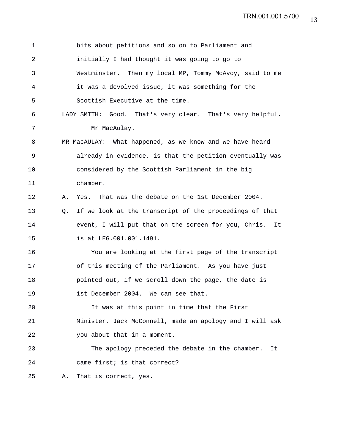| 1              | bits about petitions and so on to Parliament and              |
|----------------|---------------------------------------------------------------|
| $\overline{2}$ | initially I had thought it was going to go to                 |
| 3              | Westminster. Then my local MP, Tommy McAvoy, said to me       |
| 4              | it was a devolved issue, it was something for the             |
| 5              | Scottish Executive at the time.                               |
| 6              | LADY SMITH: Good. That's very clear. That's very helpful.     |
| 7              | Mr MacAulay.                                                  |
| 8              | MR MacAULAY: What happened, as we know and we have heard      |
| 9              | already in evidence, is that the petition eventually was      |
| 10             | considered by the Scottish Parliament in the big              |
| 11             | chamber.                                                      |
| 12             | Yes. That was the debate on the 1st December 2004.<br>Α.      |
| 13             | If we look at the transcript of the proceedings of that<br>O. |
| 14             | event, I will put that on the screen for you, Chris.<br>It    |
| 15             | is at LEG.001.001.1491.                                       |
| 16             | You are looking at the first page of the transcript           |
| 17             | of this meeting of the Parliament. As you have just           |
| 18             | pointed out, if we scroll down the page, the date is          |
| 19             | 1st December 2004. We can see that.                           |
| 20             | It was at this point in time that the First                   |
| 21             | Minister, Jack McConnell, made an apology and I will ask      |
| 22             | you about that in a moment.                                   |
| 23             | The apology preceded the debate in the chamber.<br>It         |
| 24             | came first; is that correct?                                  |
| 25             | That is correct, yes.<br>Α.                                   |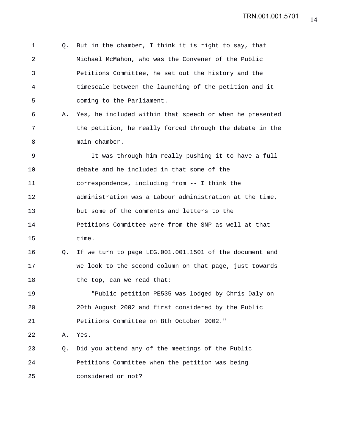1 Q. But in the chamber, I think it is right to say, that 2 Michael McMahon, who was the Convener of the Public 3 Petitions Committee, he set out the history and the 4 timescale between the launching of the petition and it 5 coming to the Parliament. 6 A. Yes, he included within that speech or when he presented 7 the petition, he really forced through the debate in the 8 main chamber. 9 It was through him really pushing it to have a full 10 debate and he included in that some of the 11 correspondence, including from -- I think the 12 administration was a Labour administration at the time, 13 but some of the comments and letters to the 14 Petitions Committee were from the SNP as well at that 15 time. 16 Q. If we turn to page LEG.001.001.1501 of the document and 17 we look to the second column on that page, just towards 18 the top, can we read that: 19 "Public petition PE535 was lodged by Chris Daly on 20 20th August 2002 and first considered by the Public 21 Petitions Committee on 8th October 2002." 22 A. Yes. 23 Q. Did you attend any of the meetings of the Public 24 Petitions Committee when the petition was being 25 considered or not?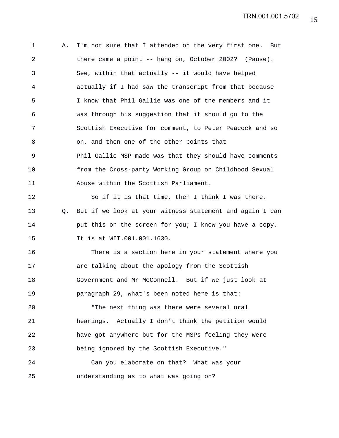1 A. I'm not sure that I attended on the very first one. But 2 there came a point -- hang on, October 2002? (Pause). 3 See, within that actually -- it would have helped 4 actually if I had saw the transcript from that because 5 I know that Phil Gallie was one of the members and it 6 was through his suggestion that it should go to the 7 Scottish Executive for comment, to Peter Peacock and so 8 on, and then one of the other points that 9 Phil Gallie MSP made was that they should have comments 10 from the Cross-party Working Group on Childhood Sexual 11 Abuse within the Scottish Parliament. 12 So if it is that time, then I think I was there. 13 Q. But if we look at your witness statement and again I can 14 **put this on the screen for you; I know you have a copy.** 15 It is at WIT.001.001.1630. 16 There is a section here in your statement where you 17 are talking about the apology from the Scottish 18 Government and Mr McConnell. But if we just look at 19 paragraph 29, what's been noted here is that: 20 "The next thing was there were several oral 21 hearings. Actually I don't think the petition would 22 have got anywhere but for the MSPs feeling they were 23 being ignored by the Scottish Executive." 24 Can you elaborate on that? What was your 25 understanding as to what was going on?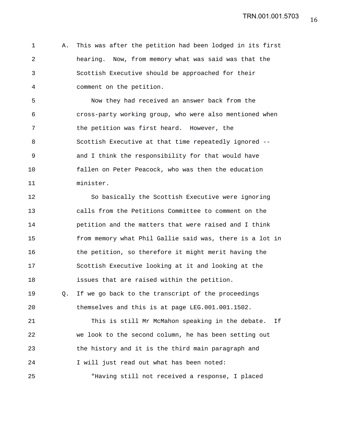1 A. This was after the petition had been lodged in its first 2 hearing. Now, from memory what was said was that the 3 Scottish Executive should be approached for their 4 comment on the petition.

5 Now they had received an answer back from the 6 cross-party working group, who were also mentioned when 7 the petition was first heard. However, the 8 Scottish Executive at that time repeatedly ignored -- 9 and I think the responsibility for that would have 10 fallen on Peter Peacock, who was then the education 11 minister.

12 So basically the Scottish Executive were ignoring 13 calls from the Petitions Committee to comment on the 14 petition and the matters that were raised and I think 15 from memory what Phil Gallie said was, there is a lot in 16 the petition, so therefore it might merit having the 17 Scottish Executive looking at it and looking at the 18 issues that are raised within the petition. 19 Q. If we go back to the transcript of the proceedings 20 themselves and this is at page LEG.001.001.1502.

21 This is still Mr McMahon speaking in the debate. If 22 we look to the second column, he has been setting out 23 the history and it is the third main paragraph and 24 I will just read out what has been noted: 25 "Having still not received a response, I placed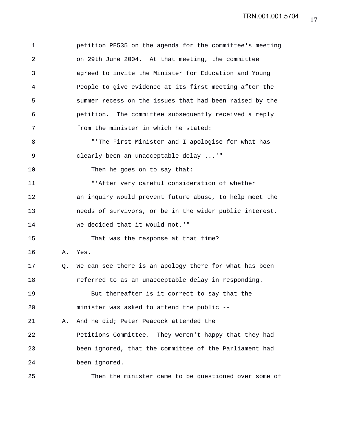1 petition PE535 on the agenda for the committee's meeting 2 on 29th June 2004. At that meeting, the committee 3 agreed to invite the Minister for Education and Young 4 People to give evidence at its first meeting after the 5 summer recess on the issues that had been raised by the 6 petition. The committee subsequently received a reply 7 from the minister in which he stated: 8 "'The First Minister and I apologise for what has 9 clearly been an unacceptable delay ...'" 10 Then he goes on to say that: 11 "'After very careful consideration of whether 12 an inquiry would prevent future abuse, to help meet the 13 needs of survivors, or be in the wider public interest, 14 we decided that it would not.'" 15 That was the response at that time? 16 A. Yes. 17 Q. We can see there is an apology there for what has been 18 referred to as an unacceptable delay in responding. 19 But thereafter is it correct to say that the 20 minister was asked to attend the public -- 21 A. And he did; Peter Peacock attended the 22 Petitions Committee. They weren't happy that they had 23 been ignored, that the committee of the Parliament had 24 been ignored. 25 Then the minister came to be questioned over some of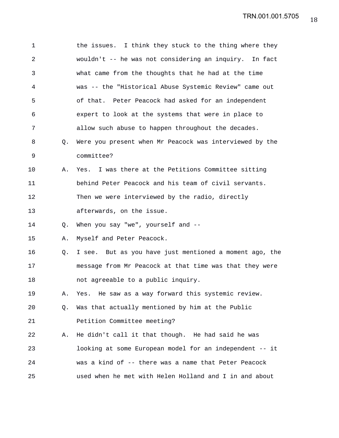| $\mathbf 1$ |    | the issues. I think they stuck to the thing where they  |
|-------------|----|---------------------------------------------------------|
| 2           |    | wouldn't -- he was not considering an inquiry. In fact  |
| 3           |    | what came from the thoughts that he had at the time     |
| 4           |    | was -- the "Historical Abuse Systemic Review" came out  |
| 5           |    | of that. Peter Peacock had asked for an independent     |
| 6           |    | expert to look at the systems that were in place to     |
| 7           |    | allow such abuse to happen throughout the decades.      |
| 8           | Q. | Were you present when Mr Peacock was interviewed by the |
| 9           |    | committee?                                              |
| 10          | Α. | Yes. I was there at the Petitions Committee sitting     |
| 11          |    | behind Peter Peacock and his team of civil servants.    |
| 12          |    | Then we were interviewed by the radio, directly         |
| 13          |    | afterwards, on the issue.                               |
| 14          | Q. | When you say "we", yourself and --                      |
| 15          | Α. | Myself and Peter Peacock.                               |
| 16          | Q. | I see. But as you have just mentioned a moment ago, the |
| 17          |    | message from Mr Peacock at that time was that they were |
| 18          |    | not agreeable to a public inquiry.                      |
| 19          | Α. | Yes. He saw as a way forward this systemic review.      |
| 20          | Q. | Was that actually mentioned by him at the Public        |
| 21          |    | Petition Committee meeting?                             |
| 22          | Α. | He didn't call it that though. He had said he was       |
| 23          |    | looking at some European model for an independent -- it |
| 24          |    | was a kind of -- there was a name that Peter Peacock    |
| 25          |    | used when he met with Helen Holland and I in and about  |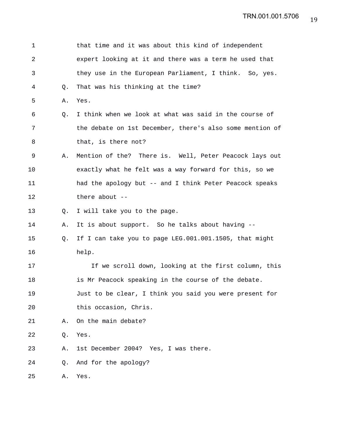| 1              |    | that time and it was about this kind of independent      |
|----------------|----|----------------------------------------------------------|
| $\overline{a}$ |    | expert looking at it and there was a term he used that   |
| 3              |    | they use in the European Parliament, I think. So, yes.   |
| 4              | Q. | That was his thinking at the time?                       |
| 5              | Α. | Yes.                                                     |
| 6              | Q. | I think when we look at what was said in the course of   |
| 7              |    | the debate on 1st December, there's also some mention of |
| 8              |    | that, is there not?                                      |
| 9              | Α. | Mention of the? There is. Well, Peter Peacock lays out   |
| 10             |    | exactly what he felt was a way forward for this, so we   |
| 11             |    | had the apology but -- and I think Peter Peacock speaks  |
| 12             |    | there about $--$                                         |
| 13             | O. | I will take you to the page.                             |
| 14             | Α. | It is about support. So he talks about having --         |
| 15             | Q. | If I can take you to page LEG.001.001.1505, that might   |
| 16             |    | help.                                                    |
| 17             |    | If we scroll down, looking at the first column, this     |
| 18             |    | is Mr Peacock speaking in the course of the debate.      |
| 19             |    | Just to be clear, I think you said you were present for  |
| 20             |    | this occasion, Chris.                                    |
| 21             | Α. | On the main debate?                                      |
| 22             | Q. | Yes.                                                     |
| 23             | Α. | 1st December 2004? Yes, I was there.                     |
| 24             | Q. | And for the apology?                                     |
| 25             | Α. | Yes.                                                     |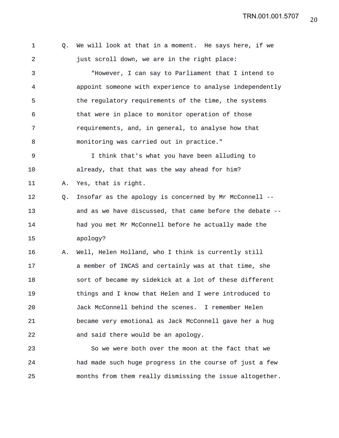1 Q. We will look at that in a moment. He says here, if we 2 just scroll down, we are in the right place: 3 "However, I can say to Parliament that I intend to 4 appoint someone with experience to analyse independently 5 the regulatory requirements of the time, the systems 6 that were in place to monitor operation of those 7 requirements, and, in general, to analyse how that 8 monitoring was carried out in practice." 9 I think that's what you have been alluding to 10 already, that that was the way ahead for him? 11 A. Yes, that is right. 12 Q. Insofar as the apology is concerned by Mr McConnell -- 13 and as we have discussed, that came before the debate -- 14 had you met Mr McConnell before he actually made the 15 apology? 16 A. Well, Helen Holland, who I think is currently still 17 a member of INCAS and certainly was at that time, she 18 sort of became my sidekick at a lot of these different 19 things and I know that Helen and I were introduced to 20 Jack McConnell behind the scenes. I remember Helen 21 became very emotional as Jack McConnell gave her a hug 22 and said there would be an apology. 23 So we were both over the moon at the fact that we 24 had made such huge progress in the course of just a few

25 months from them really dismissing the issue altogether.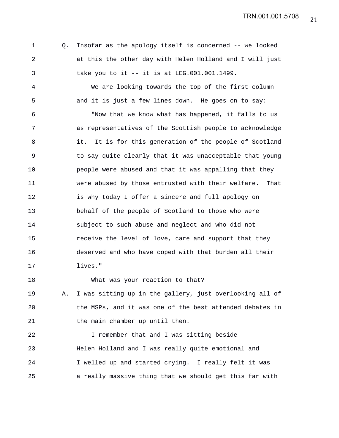21 TRN.001.001.5708

1 Q. Insofar as the apology itself is concerned -- we looked 2 at this the other day with Helen Holland and I will just 3 take you to it -- it is at LEG.001.001.1499.

4 We are looking towards the top of the first column 5 and it is just a few lines down. He goes on to say:

6 "Now that we know what has happened, it falls to us 7 as representatives of the Scottish people to acknowledge 8 it. It is for this generation of the people of Scotland 9 to say quite clearly that it was unacceptable that young 10 people were abused and that it was appalling that they 11 were abused by those entrusted with their welfare. That 12 is why today I offer a sincere and full apology on 13 behalf of the people of Scotland to those who were 14 subject to such abuse and neglect and who did not 15 receive the level of love, care and support that they 16 deserved and who have coped with that burden all their 17 lives."

19 A. I was sitting up in the gallery, just overlooking all of 20 the MSPs, and it was one of the best attended debates in 21 the main chamber up until then.

18 What was your reaction to that?

22 I remember that and I was sitting beside 23 Helen Holland and I was really quite emotional and 24 I welled up and started crying. I really felt it was 25 a really massive thing that we should get this far with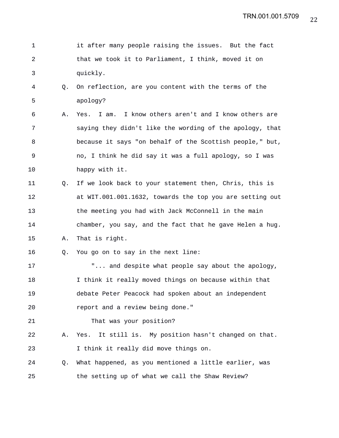| 1  |    | it after many people raising the issues. But the fact    |
|----|----|----------------------------------------------------------|
| 2  |    | that we took it to Parliament, I think, moved it on      |
| 3  |    | quickly.                                                 |
| 4  | Q. | On reflection, are you content with the terms of the     |
| 5  |    | apology?                                                 |
| 6  | Α. | I am. I know others aren't and I know others are<br>Yes. |
| 7  |    | saying they didn't like the wording of the apology, that |
| 8  |    | because it says "on behalf of the Scottish people," but, |
| 9  |    | no, I think he did say it was a full apology, so I was   |
| 10 |    | happy with it.                                           |
| 11 | O. | If we look back to your statement then, Chris, this is   |
| 12 |    | at WIT.001.001.1632, towards the top you are setting out |
| 13 |    | the meeting you had with Jack McConnell in the main      |
| 14 |    | chamber, you say, and the fact that he gave Helen a hug. |
| 15 | Α. | That is right.                                           |
| 16 | Q. | You go on to say in the next line:                       |
| 17 |    | " and despite what people say about the apology,         |
| 18 |    | I think it really moved things on because within that    |
| 19 |    | debate Peter Peacock had spoken about an independent     |
| 20 |    | report and a review being done."                         |
| 21 |    | That was your position?                                  |
| 22 | Α. | It still is. My position hasn't changed on that.<br>Yes. |
| 23 |    | I think it really did move things on.                    |
| 24 | Q. | What happened, as you mentioned a little earlier, was    |
| 25 |    | the setting up of what we call the Shaw Review?          |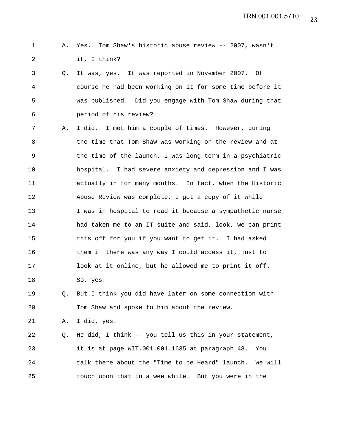## 1 A. Yes. Tom Shaw's historic abuse review -- 2007, wasn't 2 it, I think?

- 3 Q. It was, yes. It was reported in November 2007. Of 4 course he had been working on it for some time before it 5 was published. Did you engage with Tom Shaw during that 6 period of his review?
- 7 A. I did. I met him a couple of times. However, during 8 the time that Tom Shaw was working on the review and at 9 the time of the launch, I was long term in a psychiatric 10 hospital. I had severe anxiety and depression and I was 11 actually in for many months. In fact, when the Historic 12 Abuse Review was complete, I got a copy of it while 13 I was in hospital to read it because a sympathetic nurse 14 had taken me to an IT suite and said, look, we can print 15 this off for you if you want to get it. I had asked 16 them if there was any way I could access it, just to 17 look at it online, but he allowed me to print it off. 18 So, yes.

19 Q. But I think you did have later on some connection with 20 Tom Shaw and spoke to him about the review.

21 A. I did, yes.

22 Q. He did, I think -- you tell us this in your statement, 23 it is at page WIT.001.001.1635 at paragraph 48. You 24 talk there about the "Time to be Heard" launch. We will 25 touch upon that in a wee while. But you were in the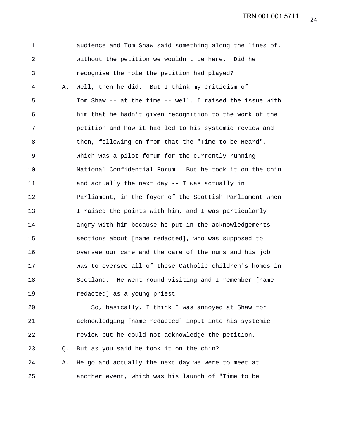24 TRN.001.001.5711

1 audience and Tom Shaw said something along the lines of, 2 without the petition we wouldn't be here. Did he 3 recognise the role the petition had played? 4 A. Well, then he did. But I think my criticism of 5 Tom Shaw -- at the time -- well, I raised the issue with 6 him that he hadn't given recognition to the work of the 7 petition and how it had led to his systemic review and 8 then, following on from that the "Time to be Heard", 9 which was a pilot forum for the currently running 10 National Confidential Forum. But he took it on the chin 11 and actually the next day -- I was actually in 12 Parliament, in the foyer of the Scottish Parliament when 13 I raised the points with him, and I was particularly 14 angry with him because he put in the acknowledgements 15 sections about [name redacted], who was supposed to 16 oversee our care and the care of the nuns and his job 17 was to oversee all of these Catholic children's homes in 18 Scotland. He went round visiting and I remember [name 19 redacted] as a young priest. 20 So, basically, I think I was annoyed at Shaw for

21 acknowledging [name redacted] input into his systemic 22 review but he could not acknowledge the petition. 23 Q. But as you said he took it on the chin? 24 A. He go and actually the next day we were to meet at 25 another event, which was his launch of "Time to be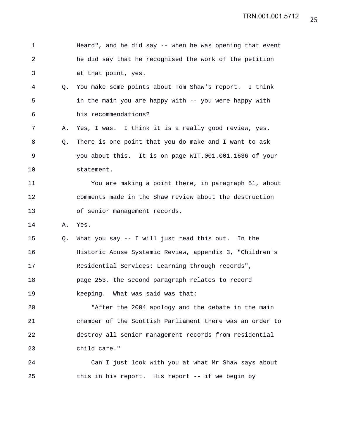| $\mathbf 1$ |    | Heard", and he did say -- when he was opening that event |
|-------------|----|----------------------------------------------------------|
| 2           |    | he did say that he recognised the work of the petition   |
| 3           |    | at that point, yes.                                      |
| 4           | Q. | You make some points about Tom Shaw's report. I think    |
| 5           |    | in the main you are happy with -- you were happy with    |
| 6           |    | his recommendations?                                     |
| 7           | Α. | Yes, I was. I think it is a really good review, yes.     |
| 8           | Q. | There is one point that you do make and I want to ask    |
| 9           |    | you about this. It is on page WIT.001.001.1636 of your   |
| 10          |    | statement.                                               |
| 11          |    | You are making a point there, in paragraph 51, about     |
| 12          |    | comments made in the Shaw review about the destruction   |
| 13          |    | of senior management records.                            |
| 14          | Α. | Yes.                                                     |
| 15          | Q. | What you say -- I will just read this out. In the        |
| 16          |    | Historic Abuse Systemic Review, appendix 3, "Children's  |
| 17          |    | Residential Services: Learning through records",         |
| 18          |    | page 253, the second paragraph relates to record         |
| 19          |    | keeping. What was said was that:                         |
| 20          |    | "After the 2004 apology and the debate in the main       |
| 21          |    | chamber of the Scottish Parliament there was an order to |
| 22          |    | destroy all senior management records from residential   |
| 23          |    | child care."                                             |
| 24          |    | Can I just look with you at what Mr Shaw says about      |
| 25          |    | this in his report. His report -- if we begin by         |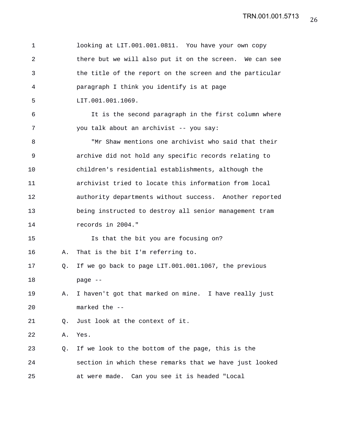| $\mathbf 1$ |    | looking at LIT.001.001.0811. You have your own copy      |
|-------------|----|----------------------------------------------------------|
| 2           |    | there but we will also put it on the screen. We can see  |
| 3           |    | the title of the report on the screen and the particular |
| 4           |    | paragraph I think you identify is at page                |
| 5           |    | LIT.001.001.1069.                                        |
| 6           |    | It is the second paragraph in the first column where     |
| 7           |    | you talk about an archivist -- you say:                  |
| 8           |    | "Mr Shaw mentions one archivist who said that their      |
| 9           |    | archive did not hold any specific records relating to    |
| 10          |    | children's residential establishments, although the      |
| 11          |    | archivist tried to locate this information from local    |
| 12          |    | authority departments without success. Another reported  |
| 13          |    | being instructed to destroy all senior management tram   |
| 14          |    | records in 2004."                                        |
| 15          |    | Is that the bit you are focusing on?                     |
| 16          | Α. | That is the bit I'm referring to.                        |
| 17          | Q. | If we go back to page LIT.001.001.1067, the previous     |
| 18          |    | page --                                                  |
| 19          | Α. | I haven't got that marked on mine. I have really just    |
| 20          |    | marked the --                                            |
| 21          | Q. | Just look at the context of it.                          |
| 22          | Α. | Yes.                                                     |
| 23          | Q. | If we look to the bottom of the page, this is the        |
| 24          |    | section in which these remarks that we have just looked  |
| 25          |    | at were made. Can you see it is headed "Local            |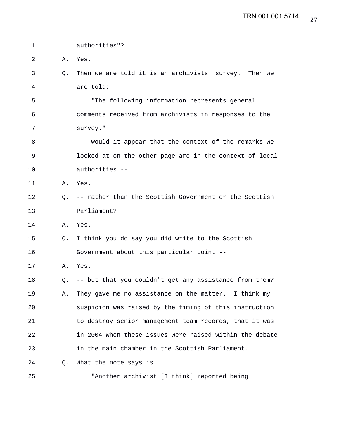| $\mathbf 1$ |    | authorities"?                                             |
|-------------|----|-----------------------------------------------------------|
| 2           | Α. | Yes.                                                      |
| 3           | Q. | Then we are told it is an archivists' survey. Then we     |
| 4           |    | are told:                                                 |
| 5           |    | "The following information represents general             |
| 6           |    | comments received from archivists in responses to the     |
| 7           |    | survey."                                                  |
| 8           |    | Would it appear that the context of the remarks we        |
| 9           |    | looked at on the other page are in the context of local   |
| 10          |    | authorities --                                            |
| 11          | Α. | Yes.                                                      |
| 12          |    | Q. -- rather than the Scottish Government or the Scottish |
| 13          |    | Parliament?                                               |
| 14          | Α. | Yes.                                                      |
| 15          | Q. | I think you do say you did write to the Scottish          |
| 16          |    | Government about this particular point --                 |
| 17          | Α. | Yes.                                                      |
| 18          | Q. | -- but that you couldn't get any assistance from them?    |
| 19          | Α. | They gave me no assistance on the matter. I think my      |
| 20          |    | suspicion was raised by the timing of this instruction    |
| 21          |    | to destroy senior management team records, that it was    |
| 22          |    | in 2004 when these issues were raised within the debate   |
| 23          |    | in the main chamber in the Scottish Parliament.           |
| 24          | O. | What the note says is:                                    |
| 25          |    | "Another archivist [I think] reported being               |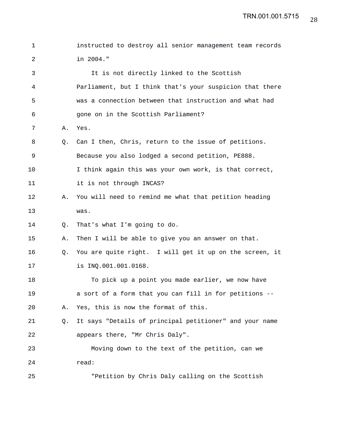1 instructed to destroy all senior management team records 2 in 2004." 3 It is not directly linked to the Scottish 4 Parliament, but I think that's your suspicion that there 5 was a connection between that instruction and what had 6 gone on in the Scottish Parliament? 7 A. Yes. 8 Q. Can I then, Chris, return to the issue of petitions. 9 Because you also lodged a second petition, PE888. 10 I think again this was your own work, is that correct, 11 it is not through INCAS? 12 A. You will need to remind me what that petition heading 13 was. 14 Q. That's what I'm going to do. 15 A. Then I will be able to give you an answer on that. 16 Q. You are quite right. I will get it up on the screen, it 17 is INQ.001.001.0168. 18 To pick up a point you made earlier, we now have 19 a sort of a form that you can fill in for petitions -- 20 A. Yes, this is now the format of this. 21 Q. It says "Details of principal petitioner" and your name 22 appears there, "Mr Chris Daly". 23 Moving down to the text of the petition, can we 24 read: 25 "Petition by Chris Daly calling on the Scottish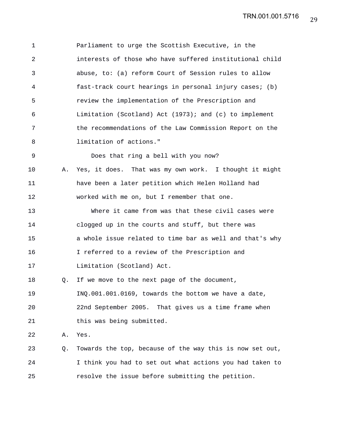| $\mathbf 1$ |    | Parliament to urge the Scottish Executive, in the        |
|-------------|----|----------------------------------------------------------|
| 2           |    | interests of those who have suffered institutional child |
| 3           |    | abuse, to: (a) reform Court of Session rules to allow    |
| 4           |    | fast-track court hearings in personal injury cases; (b)  |
| 5           |    | review the implementation of the Prescription and        |
| 6           |    | Limitation (Scotland) Act (1973); and (c) to implement   |
| 7           |    | the recommendations of the Law Commission Report on the  |
| 8           |    | limitation of actions."                                  |
| $\mathsf 9$ |    | Does that ring a bell with you now?                      |
| 10          | Α. | Yes, it does. That was my own work. I thought it might   |
| 11          |    | have been a later petition which Helen Holland had       |
| 12          |    | worked with me on, but I remember that one.              |
| 13          |    | Where it came from was that these civil cases were       |
| 14          |    | clogged up in the courts and stuff, but there was        |
| 15          |    | a whole issue related to time bar as well and that's why |
| 16          |    | I referred to a review of the Prescription and           |
| 17          |    | Limitation (Scotland) Act.                               |
| 18          | Q. | If we move to the next page of the document,             |
| 19          |    | INQ.001.001.0169, towards the bottom we have a date,     |
| 20          |    | 22nd September 2005. That gives us a time frame when     |
| 21          |    | this was being submitted.                                |
| 22          | Α. | Yes.                                                     |
| 23          | Q. | Towards the top, because of the way this is now set out, |
| 24          |    | I think you had to set out what actions you had taken to |
| 25          |    | resolve the issue before submitting the petition.        |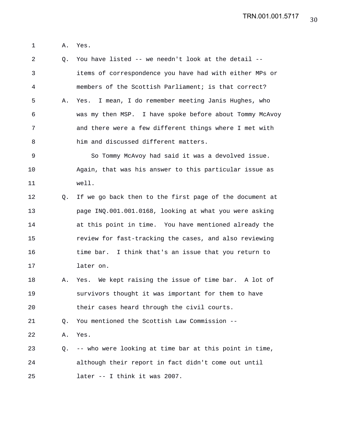1 A. Yes.

2 Q. You have listed -- we needn't look at the detail -- 3 items of correspondence you have had with either MPs or 4 members of the Scottish Parliament; is that correct? 5 A. Yes. I mean, I do remember meeting Janis Hughes, who 6 was my then MSP. I have spoke before about Tommy McAvoy 7 and there were a few different things where I met with 8 him and discussed different matters. 9 So Tommy McAvoy had said it was a devolved issue. 10 Again, that was his answer to this particular issue as 11 well. 12 Q. If we go back then to the first page of the document at 13 page INQ.001.001.0168, looking at what you were asking 14 at this point in time. You have mentioned already the 15 review for fast-tracking the cases, and also reviewing 16 time bar. I think that's an issue that you return to 17 later on. 18 A. Yes. We kept raising the issue of time bar. A lot of 19 survivors thought it was important for them to have 20 their cases heard through the civil courts.

21 Q. You mentioned the Scottish Law Commission --

22 A. Yes.

23 Q. -- who were looking at time bar at this point in time, 24 although their report in fact didn't come out until 25 later -- I think it was 2007.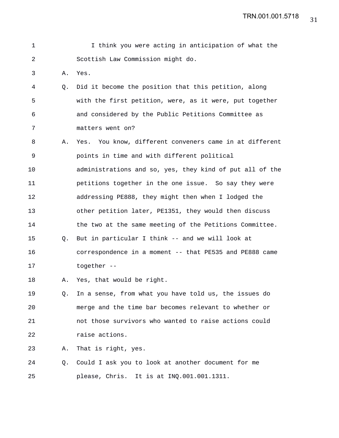TRN.001.001.5718

| 1              |    | I think you were acting in anticipation of what the      |
|----------------|----|----------------------------------------------------------|
| $\overline{a}$ |    | Scottish Law Commission might do.                        |
| 3              | Α. | Yes.                                                     |
| 4              | Q. | Did it become the position that this petition, along     |
| 5              |    | with the first petition, were, as it were, put together  |
| 6              |    | and considered by the Public Petitions Committee as      |
| 7              |    | matters went on?                                         |
| 8              | Α. | Yes. You know, different conveners came in at different  |
| 9              |    | points in time and with different political              |
| 10             |    | administrations and so, yes, they kind of put all of the |
| 11             |    | petitions together in the one issue. So say they were    |
| 12             |    | addressing PE888, they might then when I lodged the      |
| 13             |    | other petition later, PE1351, they would then discuss    |
| 14             |    | the two at the same meeting of the Petitions Committee.  |
| 15             | Q. | But in particular I think -- and we will look at         |
| 16             |    | correspondence in a moment -- that PE535 and PE888 came  |
| 17             |    | together --                                              |
| 18             | Α. | Yes, that would be right.                                |
| 19             | Q. | In a sense, from what you have told us, the issues do    |
| 20             |    | merge and the time bar becomes relevant to whether or    |
| 21             |    | not those survivors who wanted to raise actions could    |
| 22             |    | raise actions.                                           |
| 23             | Α. | That is right, yes.                                      |
| 24             | Q. | Could I ask you to look at another document for me       |
| 25             |    | please, Chris. It is at INQ.001.001.1311.                |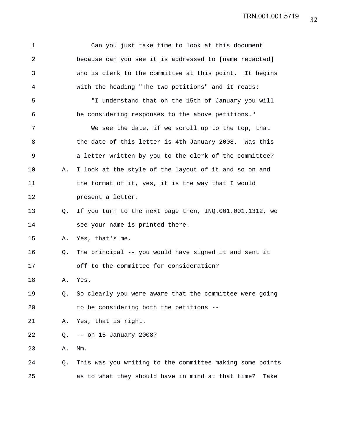| 1              |    | Can you just take time to look at this document           |
|----------------|----|-----------------------------------------------------------|
| $\overline{2}$ |    | because can you see it is addressed to [name redacted]    |
| 3              |    | who is clerk to the committee at this point. It begins    |
| 4              |    | with the heading "The two petitions" and it reads:        |
| 5              |    | "I understand that on the 15th of January you will        |
| 6              |    | be considering responses to the above petitions."         |
| 7              |    | We see the date, if we scroll up to the top, that         |
| 8              |    | the date of this letter is 4th January 2008. Was this     |
| 9              |    | a letter written by you to the clerk of the committee?    |
| 10             | Α. | I look at the style of the layout of it and so on and     |
| 11             |    | the format of it, yes, it is the way that I would         |
| 12             |    | present a letter.                                         |
| 13             | Q. | If you turn to the next page then, INQ.001.001.1312, we   |
| 14             |    | see your name is printed there.                           |
| 15             | Α. | Yes, that's me.                                           |
| 16             | Q. | The principal -- you would have signed it and sent it     |
| 17             |    | off to the committee for consideration?                   |
| 18             | Α. | Yes.                                                      |
| 19             | Q. | So clearly you were aware that the committee were going   |
| 20             |    | to be considering both the petitions --                   |
| 21             | Α. | Yes, that is right.                                       |
| 22             | Q. | $--$ on 15 January 2008?                                  |
| 23             | Α. | $Mm$ .                                                    |
| 24             | Q. | This was you writing to the committee making some points  |
| 25             |    | as to what they should have in mind at that time?<br>Take |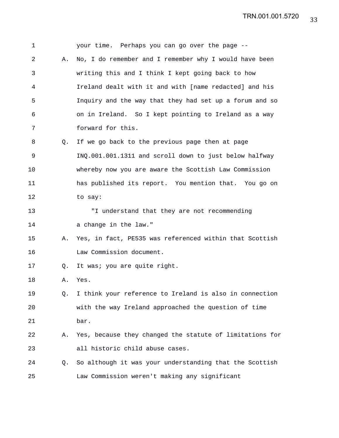| 1  |    | your time. Perhaps you can go over the page --           |
|----|----|----------------------------------------------------------|
| 2  | Α. | No, I do remember and I remember why I would have been   |
| 3  |    | writing this and I think I kept going back to how        |
| 4  |    | Ireland dealt with it and with [name redacted] and his   |
| 5  |    | Inquiry and the way that they had set up a forum and so  |
| 6  |    | on in Ireland. So I kept pointing to Ireland as a way    |
| 7  |    | forward for this.                                        |
| 8  | Q. | If we go back to the previous page then at page          |
| 9  |    | INQ.001.001.1311 and scroll down to just below halfway   |
| 10 |    | whereby now you are aware the Scottish Law Commission    |
| 11 |    | has published its report. You mention that. You go on    |
| 12 |    | to say:                                                  |
| 13 |    | "I understand that they are not recommending             |
| 14 |    | a change in the law."                                    |
| 15 | Α. | Yes, in fact, PE535 was referenced within that Scottish  |
| 16 |    | Law Commission document.                                 |
| 17 | Q. | It was; you are quite right.                             |
| 18 | Α. | Yes.                                                     |
| 19 | Q. | I think your reference to Ireland is also in connection  |
| 20 |    | with the way Ireland approached the question of time     |
| 21 |    | bar.                                                     |
| 22 | Α. | Yes, because they changed the statute of limitations for |
| 23 |    | all historic child abuse cases.                          |
| 24 | Q. | So although it was your understanding that the Scottish  |
| 25 |    | Law Commission weren't making any significant            |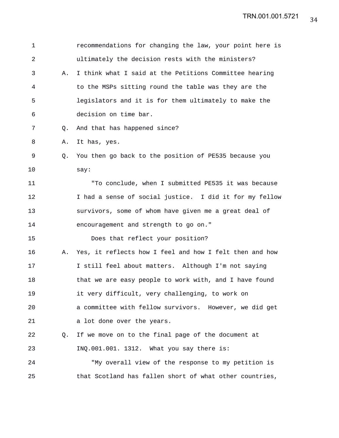| $\mathbf 1$    |    | recommendations for changing the law, your point here is |
|----------------|----|----------------------------------------------------------|
| $\overline{a}$ |    | ultimately the decision rests with the ministers?        |
| 3              | Α. | I think what I said at the Petitions Committee hearing   |
| 4              |    | to the MSPs sitting round the table was they are the     |
| 5              |    | legislators and it is for them ultimately to make the    |
| 6              |    | decision on time bar.                                    |
| 7              | Q. | And that has happened since?                             |
| 8              | Α. | It has, yes.                                             |
| 9              | Q. | You then go back to the position of PE535 because you    |
| 10             |    | say:                                                     |
| 11             |    | "To conclude, when I submitted PE535 it was because      |
| 12             |    | I had a sense of social justice. I did it for my fellow  |
| 13             |    | survivors, some of whom have given me a great deal of    |
| 14             |    | encouragement and strength to go on."                    |
| 15             |    | Does that reflect your position?                         |
| 16             | Α. | Yes, it reflects how I feel and how I felt then and how  |
| 17             |    | I still feel about matters. Although I'm not saying      |
| 18             |    | that we are easy people to work with, and I have found   |
| 19             |    | it very difficult, very challenging, to work on          |
| 20             |    | a committee with fellow survivors. However, we did get   |
| 21             |    | a lot done over the years.                               |
| 22             | Q. | If we move on to the final page of the document at       |
| 23             |    | INQ.001.001. 1312. What you say there is:                |
| 24             |    | "My overall view of the response to my petition is       |
| 25             |    | that Scotland has fallen short of what other countries,  |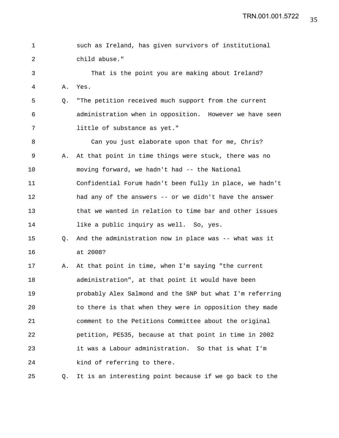1 such as Ireland, has given survivors of institutional 2 child abuse." 3 That is the point you are making about Ireland? 4 A. Yes. 5 Q. "The petition received much support from the current 6 administration when in opposition. However we have seen 7 little of substance as yet." 8 Can you just elaborate upon that for me, Chris? 9 A. At that point in time things were stuck, there was no 10 moving forward, we hadn't had -- the National 11 Confidential Forum hadn't been fully in place, we hadn't 12 had any of the answers -- or we didn't have the answer 13 that we wanted in relation to time bar and other issues 14 like a public inquiry as well. So, yes. 15 Q. And the administration now in place was -- what was it 16 at 2008? 17 A. At that point in time, when I'm saying "the current 18 administration", at that point it would have been 19 probably Alex Salmond and the SNP but what I'm referring 20 to there is that when they were in opposition they made 21 comment to the Petitions Committee about the original 22 petition, PE535, because at that point in time in 2002 23 it was a Labour administration. So that is what I'm 24 kind of referring to there. 25 Q. It is an interesting point because if we go back to the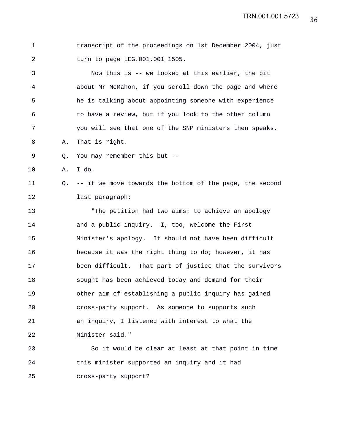1 transcript of the proceedings on 1st December 2004, just 2 turn to page LEG.001.001 1505.

3 Now this is -- we looked at this earlier, the bit 4 about Mr McMahon, if you scroll down the page and where 5 he is talking about appointing someone with experience 6 to have a review, but if you look to the other column 7 you will see that one of the SNP ministers then speaks. 8 A. That is right.

9 Q. You may remember this but --

10 A. I do.

11 Q. -- if we move towards the bottom of the page, the second 12 last paragraph:

13 "The petition had two aims: to achieve an apology 14 and a public inquiry. I, too, welcome the First 15 Minister's apology. It should not have been difficult 16 because it was the right thing to do; however, it has 17 been difficult. That part of justice that the survivors 18 sought has been achieved today and demand for their 19 other aim of establishing a public inquiry has gained 20 cross-party support. As someone to supports such 21 an inquiry, I listened with interest to what the 22 Minister said."

23 So it would be clear at least at that point in time 24 this minister supported an inquiry and it had 25 cross-party support?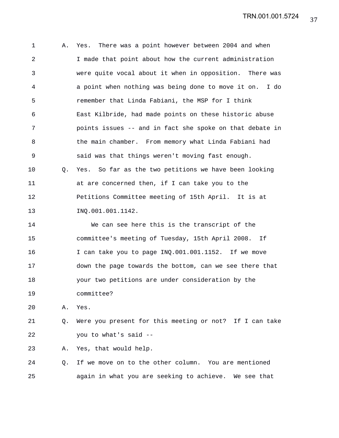37 TRN.001.001.5724

1 A. Yes. There was a point however between 2004 and when 2 I made that point about how the current administration 3 were quite vocal about it when in opposition. There was 4 a point when nothing was being done to move it on. I do 5 remember that Linda Fabiani, the MSP for I think 6 East Kilbride, had made points on these historic abuse 7 points issues -- and in fact she spoke on that debate in 8 the main chamber. From memory what Linda Fabiani had 9 said was that things weren't moving fast enough. 10 Q. Yes. So far as the two petitions we have been looking 11 at are concerned then, if I can take you to the 12 Petitions Committee meeting of 15th April. It is at 13 INQ.001.001.1142. 14 We can see here this is the transcript of the 15 committee's meeting of Tuesday, 15th April 2008. If 16 I can take you to page INQ.001.001.1152. If we move 17 down the page towards the bottom, can we see there that 18 your two petitions are under consideration by the 19 committee? 20 A. Yes. 21 Q. Were you present for this meeting or not? If I can take 22 you to what's said --

23 A. Yes, that would help.

24 Q. If we move on to the other column. You are mentioned 25 again in what you are seeking to achieve. We see that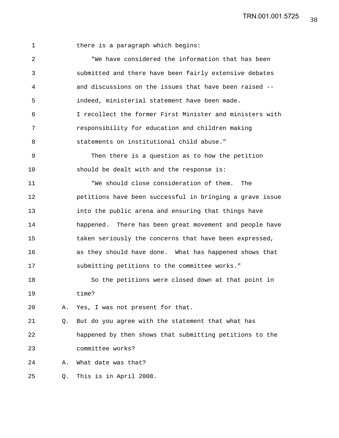38 TRN.001.001.5725

|  |  |  | there is a paragraph which begins: |  |  |
|--|--|--|------------------------------------|--|--|
|--|--|--|------------------------------------|--|--|

2 "We have considered the information that has been 3 submitted and there have been fairly extensive debates 4 and discussions on the issues that have been raised -- 5 indeed, ministerial statement have been made. 6 I recollect the former First Minister and ministers with 7 responsibility for education and children making 8 statements on institutional child abuse." 9 Then there is a question as to how the petition 10 should be dealt with and the response is: 11 "We should close consideration of them. The 12 petitions have been successful in bringing a grave issue 13 into the public arena and ensuring that things have 14 happened. There has been great movement and people have 15 taken seriously the concerns that have been expressed, 16 as they should have done. What has happened shows that 17 submitting petitions to the committee works." 18 So the petitions were closed down at that point in 19 time? 20 A. Yes, I was not present for that. 21 Q. But do you agree with the statement that what has 22 happened by then shows that submitting petitions to the 23 committee works? 24 A. What date was that? 25 Q. This is in April 2008.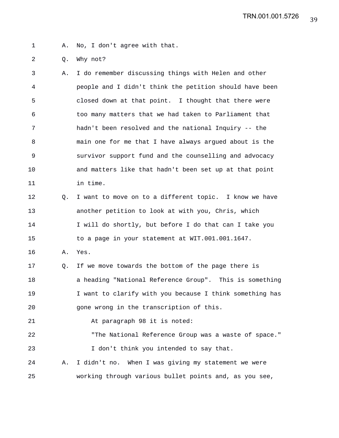1 A. No, I don't agree with that.

2 Q. Why not?

3 A. I do remember discussing things with Helen and other 4 people and I didn't think the petition should have been 5 closed down at that point. I thought that there were 6 too many matters that we had taken to Parliament that 7 hadn't been resolved and the national Inquiry -- the 8 main one for me that I have always argued about is the 9 survivor support fund and the counselling and advocacy 10 and matters like that hadn't been set up at that point 11 in time. 12 Q. I want to move on to a different topic. I know we have 13 another petition to look at with you, Chris, which

14 I will do shortly, but before I do that can I take you 15 to a page in your statement at WIT.001.001.1647.

16 A. Yes.

17 Q. If we move towards the bottom of the page there is 18 a heading "National Reference Group". This is something 19 19 I want to clarify with you because I think something has 20 gone wrong in the transcription of this.

21 At paragraph 98 it is noted:

22 "The National Reference Group was a waste of space." 23 I don't think you intended to say that.

24 A. I didn't no. When I was giving my statement we were 25 working through various bullet points and, as you see,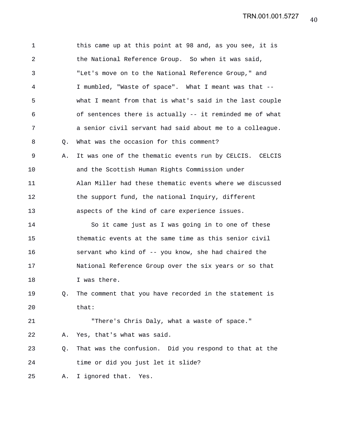1 this came up at this point at 98 and, as you see, it is 2 the National Reference Group. So when it was said, 3 "Let's move on to the National Reference Group," and 4 I mumbled, "Waste of space". What I meant was that -- 5 what I meant from that is what's said in the last couple 6 of sentences there is actually -- it reminded me of what 7 a senior civil servant had said about me to a colleague. 8 Q. What was the occasion for this comment? 9 A. It was one of the thematic events run by CELCIS. CELCIS 10 and the Scottish Human Rights Commission under 11 Alan Miller had these thematic events where we discussed 12 the support fund, the national Inquiry, different 13 aspects of the kind of care experience issues. 14 So it came just as I was going in to one of these 15 thematic events at the same time as this senior civil 16 servant who kind of -- you know, she had chaired the 17 National Reference Group over the six years or so that 18 I was there. 19 Q. The comment that you have recorded in the statement is 20 that: 21 "There's Chris Daly, what a waste of space." 22 A. Yes, that's what was said. 23 Q. That was the confusion. Did you respond to that at the 24 time or did you just let it slide? 25 A. I ignored that. Yes.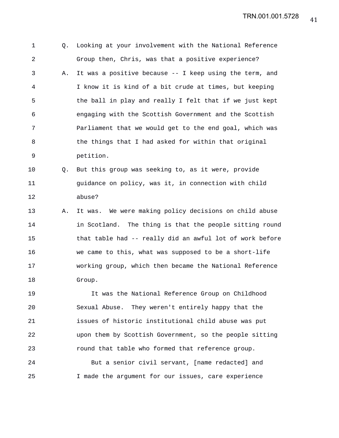1 Q. Looking at your involvement with the National Reference 2 Group then, Chris, was that a positive experience? 3 A. It was a positive because -- I keep using the term, and 4 I know it is kind of a bit crude at times, but keeping 5 the ball in play and really I felt that if we just kept 6 engaging with the Scottish Government and the Scottish 7 Parliament that we would get to the end goal, which was 8 6 1 the things that I had asked for within that original 9 petition. 10 Q. But this group was seeking to, as it were, provide

11 guidance on policy, was it, in connection with child 12 abuse?

13 A. It was. We were making policy decisions on child abuse 14 in Scotland. The thing is that the people sitting round 15 that table had -- really did an awful lot of work before 16 we came to this, what was supposed to be a short-life 17 working group, which then became the National Reference 18 Group.

19 It was the National Reference Group on Childhood 20 Sexual Abuse. They weren't entirely happy that the 21 issues of historic institutional child abuse was put 22 upon them by Scottish Government, so the people sitting 23 round that table who formed that reference group.

24 But a senior civil servant, [name redacted] and 25 I made the argument for our issues, care experience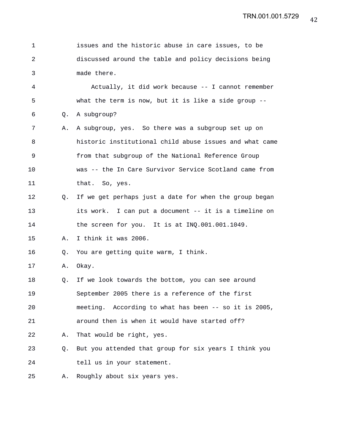| 1  |                | issues and the historic abuse in care issues, to be      |
|----|----------------|----------------------------------------------------------|
| 2  |                | discussed around the table and policy decisions being    |
| 3  |                | made there.                                              |
| 4  |                | Actually, it did work because -- I cannot remember       |
| 5  |                | what the term is now, but it is like a side group $-$ -  |
| 6  | Q <sub>z</sub> | A subgroup?                                              |
| 7  | Α.             | A subgroup, yes. So there was a subgroup set up on       |
| 8  |                | historic institutional child abuse issues and what came  |
| 9  |                | from that subgroup of the National Reference Group       |
| 10 |                | was -- the In Care Survivor Service Scotland came from   |
| 11 |                | that. So, yes.                                           |
| 12 | Q.             | If we get perhaps just a date for when the group began   |
| 13 |                | its work. I can put a document -- it is a timeline on    |
| 14 |                | the screen for you. It is at INQ.001.001.1049.           |
| 15 | Α.             | I think it was 2006.                                     |
| 16 | Q.             | You are getting quite warm, I think.                     |
| 17 | Α.             | Okay.                                                    |
| 18 | Q.             | If we look towards the bottom, you can see around        |
| 19 |                | September 2005 there is a reference of the first         |
| 20 |                | According to what has been -- so it is 2005,<br>meeting. |
| 21 |                | around then is when it would have started off?           |
| 22 | Α.             | That would be right, yes.                                |
| 23 | Q.             | But you attended that group for six years I think you    |
| 24 |                | tell us in your statement.                               |
| 25 | Α.             | Roughly about six years yes.                             |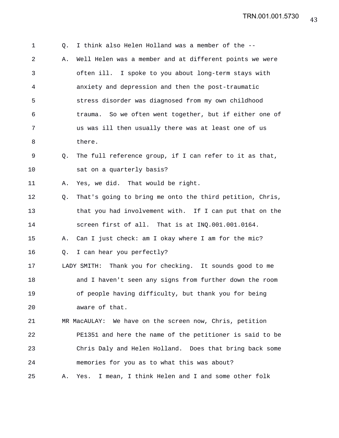1 Q. I think also Helen Holland was a member of the -- 2 A. Well Helen was a member and at different points we were 3 often ill. I spoke to you about long-term stays with 4 anxiety and depression and then the post-traumatic 5 stress disorder was diagnosed from my own childhood 6 trauma. So we often went together, but if either one of 7 us was ill then usually there was at least one of us 8 there. 9 Q. The full reference group, if I can refer to it as that, 10 sat on a quarterly basis? 11 A. Yes, we did. That would be right. 12 Q. That's going to bring me onto the third petition, Chris, 13 that you had involvement with. If I can put that on the 14 screen first of all. That is at INQ.001.001.0164. 15 A. Can I just check: am I okay where I am for the mic? 16 Q. I can hear you perfectly? 17 LADY SMITH: Thank you for checking. It sounds good to me 18 and I haven't seen any signs from further down the room 19 of people having difficulty, but thank you for being 20 aware of that. 21 MR MacAULAY: We have on the screen now, Chris, petition 22 PE1351 and here the name of the petitioner is said to be 23 Chris Daly and Helen Holland. Does that bring back some 24 memories for you as to what this was about? 25 A. Yes. I mean, I think Helen and I and some other folk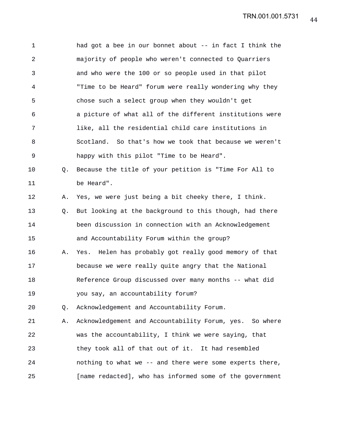1 had got a bee in our bonnet about -- in fact I think the 2 majority of people who weren't connected to Quarriers 3 and who were the 100 or so people used in that pilot 4 "Time to be Heard" forum were really wondering why they 5 chose such a select group when they wouldn't get 6 a picture of what all of the different institutions were 7 like, all the residential child care institutions in 8 Scotland. So that's how we took that because we weren't 9 happy with this pilot "Time to be Heard". 10 Q. Because the title of your petition is "Time For All to 11 be Heard". 12 A. Yes, we were just being a bit cheeky there, I think. 13 Q. But looking at the background to this though, had there 14 been discussion in connection with an Acknowledgement 15 and Accountability Forum within the group? 16 A. Yes. Helen has probably got really good memory of that 17 because we were really quite angry that the National 18 Reference Group discussed over many months -- what did 19 you say, an accountability forum? 20 Q. Acknowledgement and Accountability Forum. 21 A. Acknowledgement and Accountability Forum, yes. So where 22 was the accountability, I think we were saying, that 23 they took all of that out of it. It had resembled 24 nothing to what we -- and there were some experts there, 25 [name redacted], who has informed some of the government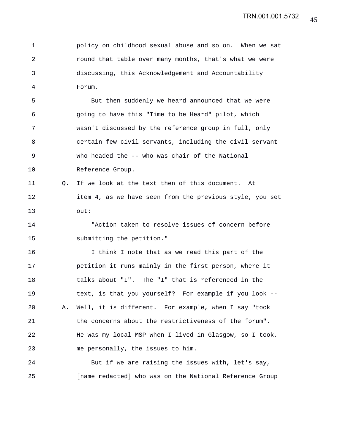45 TRN.001.001.5732

1 policy on childhood sexual abuse and so on. When we sat 2 round that table over many months, that's what we were 3 discussing, this Acknowledgement and Accountability 4 Forum.

5 But then suddenly we heard announced that we were 6 going to have this "Time to be Heard" pilot, which 7 wasn't discussed by the reference group in full, only 8 certain few civil servants, including the civil servant 9 who headed the -- who was chair of the National 10 Reference Group.

11 Q. If we look at the text then of this document. At 12 item 4, as we have seen from the previous style, you set 13 out:

14 "Action taken to resolve issues of concern before 15 submitting the petition."

16 I think I note that as we read this part of the 17 petition it runs mainly in the first person, where it 18 talks about "I". The "I" that is referenced in the 19 text, is that you yourself? For example if you look -- 20 A. Well, it is different. For example, when I say "took 21 the concerns about the restrictiveness of the forum". 22 He was my local MSP when I lived in Glasgow, so I took, 23 me personally, the issues to him.

24 But if we are raising the issues with, let's say, 25 [name redacted] who was on the National Reference Group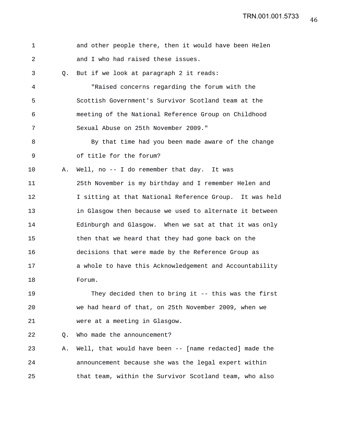| $\mathbf 1$ |    | and other people there, then it would have been Helen   |
|-------------|----|---------------------------------------------------------|
| 2           |    | and I who had raised these issues.                      |
| 3           | 0. | But if we look at paragraph 2 it reads:                 |
| 4           |    | "Raised concerns regarding the forum with the           |
| 5           |    | Scottish Government's Survivor Scotland team at the     |
| 6           |    | meeting of the National Reference Group on Childhood    |
| 7           |    | Sexual Abuse on 25th November 2009."                    |
| 8           |    | By that time had you been made aware of the change      |
| $\mathsf 9$ |    | of title for the forum?                                 |
| 10          | Α. | Well, no -- I do remember that day. It was              |
| 11          |    | 25th November is my birthday and I remember Helen and   |
| 12          |    | I sitting at that National Reference Group. It was held |
| 13          |    | in Glasgow then because we used to alternate it between |
| 14          |    | Edinburgh and Glasgow. When we sat at that it was only  |
| 15          |    | then that we heard that they had gone back on the       |
| 16          |    | decisions that were made by the Reference Group as      |
| 17          |    | a whole to have this Acknowledgement and Accountability |
| 18          |    | Forum.                                                  |
| 19          |    | They decided then to bring it -- this was the first     |
| 20          |    | we had heard of that, on 25th November 2009, when we    |
| 21          |    | were at a meeting in Glasgow.                           |
| 22          | Q. | Who made the announcement?                              |
| 23          | Α. | Well, that would have been -- [name redacted] made the  |
| 24          |    | announcement because she was the legal expert within    |
| 25          |    | that team, within the Survivor Scotland team, who also  |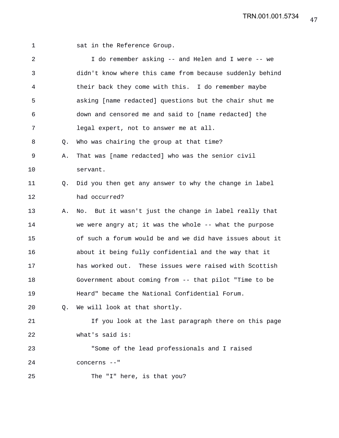1 sat in the Reference Group.

| $\overline{a}$ |    | I do remember asking -- and Helen and I were -- we       |
|----------------|----|----------------------------------------------------------|
| 3              |    | didn't know where this came from because suddenly behind |
| 4              |    | their back they come with this. I do remember maybe      |
| 5              |    | asking [name redacted] questions but the chair shut me   |
| 6              |    | down and censored me and said to [name redacted] the     |
| 7              |    | legal expert, not to answer me at all.                   |
| 8              | Q. | Who was chairing the group at that time?                 |
| 9              | Α. | That was [name redacted] who was the senior civil        |
| 10             |    | servant.                                                 |
| 11             | Q. | Did you then get any answer to why the change in label   |
| 12             |    | had occurred?                                            |
| 13             | Α. | No. But it wasn't just the change in label really that   |
| 14             |    | we were angry at; it was the whole $--$ what the purpose |
| 15             |    | of such a forum would be and we did have issues about it |
| 16             |    | about it being fully confidential and the way that it    |
| 17             |    | has worked out. These issues were raised with Scottish   |
| 18             |    | Government about coming from -- that pilot "Time to be   |
| 19             |    | Heard" became the National Confidential Forum.           |
| 20             |    | Q. We will look at that shortly.                         |
| 21             |    | If you look at the last paragraph there on this page     |
| 22             |    | what's said is:                                          |
| 23             |    | "Some of the lead professionals and I raised             |
| 24             |    | concerns --"                                             |
| 25             |    | The "I" here, is that you?                               |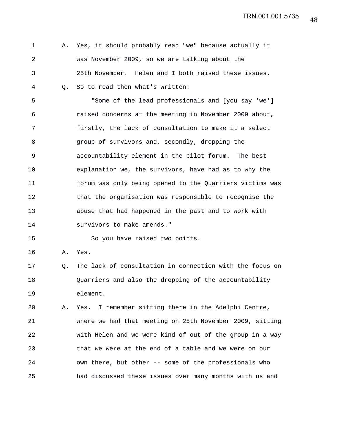1 A. Yes, it should probably read "we" because actually it 2 was November 2009, so we are talking about the 3 25th November. Helen and I both raised these issues. 4 Q. So to read then what's written:

5 "Some of the lead professionals and [you say 'we'] 6 raised concerns at the meeting in November 2009 about, 7 firstly, the lack of consultation to make it a select 8 group of survivors and, secondly, dropping the 9 accountability element in the pilot forum. The best 10 explanation we, the survivors, have had as to why the 11 forum was only being opened to the Quarriers victims was 12 that the organisation was responsible to recognise the 13 abuse that had happened in the past and to work with 14 survivors to make amends."

15 So you have raised two points.

16 A. Yes.

17 Q. The lack of consultation in connection with the focus on 18 Quarriers and also the dropping of the accountability 19 element.

20 A. Yes. I remember sitting there in the Adelphi Centre, 21 where we had that meeting on 25th November 2009, sitting 22 with Helen and we were kind of out of the group in a way 23 that we were at the end of a table and we were on our 24 own there, but other -- some of the professionals who 25 had discussed these issues over many months with us and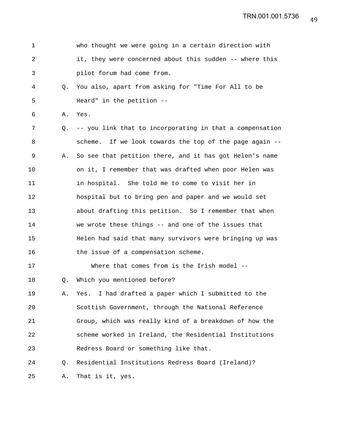| 1              |    | who thought we were going in a certain direction with    |
|----------------|----|----------------------------------------------------------|
| $\overline{a}$ |    | it, they were concerned about this sudden -- where this  |
| 3              |    | pilot forum had come from.                               |
| 4              | O. | You also, apart from asking for "Time For All to be      |
| 5              |    | Heard" in the petition --                                |
| 6              | Α. | Yes.                                                     |
| 7              | Q. | -- you link that to incorporating in that a compensation |
| 8              |    | scheme. If we look towards the top of the page again --  |
| 9              | Α. | So see that petition there, and it has got Helen's name  |
| 10             |    | on it, I remember that was drafted when poor Helen was   |
| 11             |    | in hospital. She told me to come to visit her in         |
| 12             |    | hospital but to bring pen and paper and we would set     |
| 13             |    | about drafting this petition. So I remember that when    |
| 14             |    | we wrote these things -- and one of the issues that      |
| 15             |    | Helen had said that many survivors were bringing up was  |
| 16             |    | the issue of a compensation scheme.                      |
| 17             |    | Where that comes from is the Irish model --              |
| 18             | Q. | Which you mentioned before?                              |
| 19             | Α. | Yes. I had drafted a paper which I submitted to the      |
| 20             |    | Scottish Government, through the National Reference      |
| 21             |    | Group, which was really kind of a breakdown of how the   |
| 22             |    | scheme worked in Ireland, the Residential Institutions   |
| 23             |    | Redress Board or something like that.                    |
| 24             | O. | Residential Institutions Redress Board (Ireland)?        |
| 25             | Α. | That is it, yes.                                         |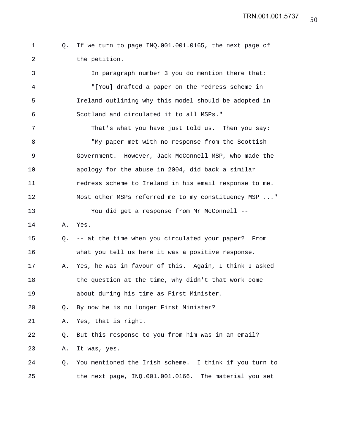1 Q. If we turn to page INQ.001.001.0165, the next page of 2 the petition.

3 In paragraph number 3 you do mention there that: 4 "[You] drafted a paper on the redress scheme in 5 Ireland outlining why this model should be adopted in 6 Scotland and circulated it to all MSPs."

7 That's what you have just told us. Then you say: 8 "My paper met with no response from the Scottish 9 Government. However, Jack McConnell MSP, who made the 10 apology for the abuse in 2004, did back a similar 11 redress scheme to Ireland in his email response to me. 12 Most other MSPs referred me to my constituency MSP ..." 13 You did get a response from Mr McConnell --

14 A. Yes.

15 Q. -- at the time when you circulated your paper? From 16 what you tell us here it was a positive response.

17 A. Yes, he was in favour of this. Again, I think I asked 18 the question at the time, why didn't that work come 19 about during his time as First Minister.

20 Q. By now he is no longer First Minister?

21 A. Yes, that is right.

22 Q. But this response to you from him was in an email?

23 A. It was, yes.

24 Q. You mentioned the Irish scheme. I think if you turn to 25 the next page, INQ.001.001.0166. The material you set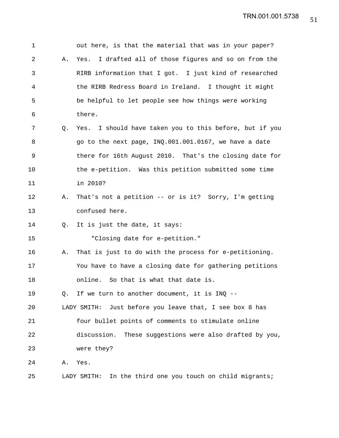| 1  |    | out here, is that the material that was in your paper?       |
|----|----|--------------------------------------------------------------|
| 2  | Α. | I drafted all of those figures and so on from the<br>Yes.    |
| 3  |    | RIRB information that I got. I just kind of researched       |
| 4  |    | the RIRB Redress Board in Ireland. I thought it might        |
| 5  |    | be helpful to let people see how things were working         |
| 6  |    | there.                                                       |
| 7  | O. | Yes. I should have taken you to this before, but if you      |
| 8  |    | go to the next page, INQ.001.001.0167, we have a date        |
| 9  |    | there for 16th August 2010. That's the closing date for      |
| 10 |    | the e-petition. Was this petition submitted some time        |
| 11 |    | in 2010?                                                     |
| 12 | Α. | That's not a petition -- or is it? Sorry, I'm getting        |
| 13 |    | confused here.                                               |
| 14 | O. | It is just the date, it says:                                |
| 15 |    | "Closing date for e-petition."                               |
| 16 | Α. | That is just to do with the process for e-petitioning.       |
| 17 |    | You have to have a closing date for gathering petitions      |
| 18 |    | online. So that is what that date is.                        |
| 19 | Q. | If we turn to another document, it is INQ --                 |
| 20 |    | Just before you leave that, I see box 8 has<br>LADY SMITH:   |
| 21 |    | four bullet points of comments to stimulate online           |
| 22 |    | These suggestions were also drafted by you,<br>discussion.   |
| 23 |    | were they?                                                   |
| 24 | Α. | Yes.                                                         |
| 25 |    | In the third one you touch on child migrants;<br>LADY SMITH: |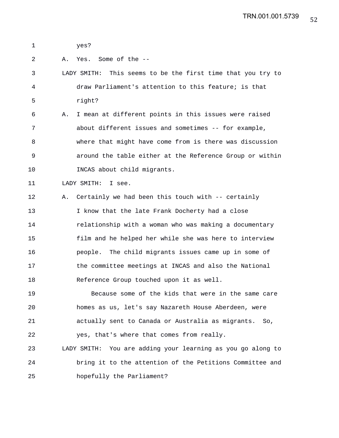1 yes?

2 A. Yes. Some of the --

3 LADY SMITH: This seems to be the first time that you try to 4 draw Parliament's attention to this feature; is that 5 right?

6 A. I mean at different points in this issues were raised 7 about different issues and sometimes -- for example, 8 where that might have come from is there was discussion 9 around the table either at the Reference Group or within 10 INCAS about child migrants.

11 LADY SMITH: I see.

12 A. Certainly we had been this touch with -- certainly 13 I know that the late Frank Docherty had a close 14 relationship with a woman who was making a documentary 15 film and he helped her while she was here to interview 16 people. The child migrants issues came up in some of 17 the committee meetings at INCAS and also the National 18 Reference Group touched upon it as well.

19 Because some of the kids that were in the same care 20 homes as us, let's say Nazareth House Aberdeen, were 21 actually sent to Canada or Australia as migrants. So, 22 yes, that's where that comes from really. 23 LADY SMITH: You are adding your learning as you go along to 24 bring it to the attention of the Petitions Committee and

25 hopefully the Parliament?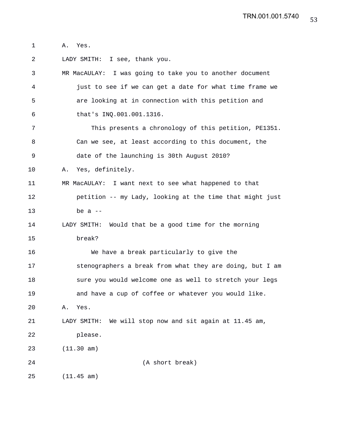1 A. Yes.

2 LADY SMITH: I see, thank you. 3 MR MacAULAY: I was going to take you to another document 4 just to see if we can get a date for what time frame we 5 are looking at in connection with this petition and 6 that's INQ.001.001.1316. 7 This presents a chronology of this petition, PE1351. 8 Can we see, at least according to this document, the 9 date of the launching is 30th August 2010? 10 A. Yes, definitely. 11 MR MacAULAY: I want next to see what happened to that 12 petition -- my Lady, looking at the time that might just  $13$  be a  $-$ 14 LADY SMITH: Would that be a good time for the morning 15 break? 16 We have a break particularly to give the 17 stenographers a break from what they are doing, but I am 18 sure you would welcome one as well to stretch your legs 19 and have a cup of coffee or whatever you would like. 20 A. Yes. 21 LADY SMITH: We will stop now and sit again at 11.45 am, 22 please. 23 (11.30 am) 24 (A short break) 25 (11.45 am)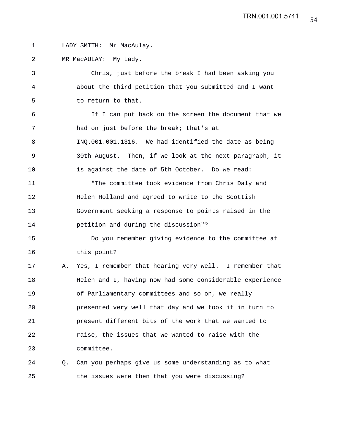1 LADY SMITH: Mr MacAulay.

2 MR MacAULAY: My Lady.

3 Chris, just before the break I had been asking you 4 about the third petition that you submitted and I want 5 to return to that.

6 If I can put back on the screen the document that we 7 had on just before the break; that's at 8 INQ.001.001.1316. We had identified the date as being 9 30th August. Then, if we look at the next paragraph, it 10 is against the date of 5th October. Do we read: 11 "The committee took evidence from Chris Daly and 12 Helen Holland and agreed to write to the Scottish 13 Government seeking a response to points raised in the 14 petition and during the discussion"?

15 Do you remember giving evidence to the committee at 16 this point?

17 A. Yes, I remember that hearing very well. I remember that 18 Helen and I, having now had some considerable experience 19 of Parliamentary committees and so on, we really 20 presented very well that day and we took it in turn to 21 present different bits of the work that we wanted to 22 raise, the issues that we wanted to raise with the 23 committee.

24 Q. Can you perhaps give us some understanding as to what 25 the issues were then that you were discussing?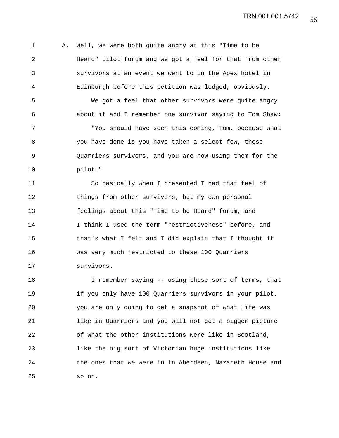1 A. Well, we were both quite angry at this "Time to be 2 Heard" pilot forum and we got a feel for that from other 3 survivors at an event we went to in the Apex hotel in 4 Edinburgh before this petition was lodged, obviously. 5 We got a feel that other survivors were quite angry 6 about it and I remember one survivor saying to Tom Shaw: 7 "You should have seen this coming, Tom, because what 8 you have done is you have taken a select few, these 9 Quarriers survivors, and you are now using them for the 10 pilot."

11 So basically when I presented I had that feel of 12 things from other survivors, but my own personal 13 feelings about this "Time to be Heard" forum, and 14 I think I used the term "restrictiveness" before, and 15 that's what I felt and I did explain that I thought it 16 was very much restricted to these 100 Quarriers 17 survivors.

18 I remember saying -- using these sort of terms, that 19 if you only have 100 Quarriers survivors in your pilot, 20 you are only going to get a snapshot of what life was 21 like in Quarriers and you will not get a bigger picture 22 of what the other institutions were like in Scotland, 23 like the big sort of Victorian huge institutions like 24 the ones that we were in in Aberdeen, Nazareth House and 25 so on.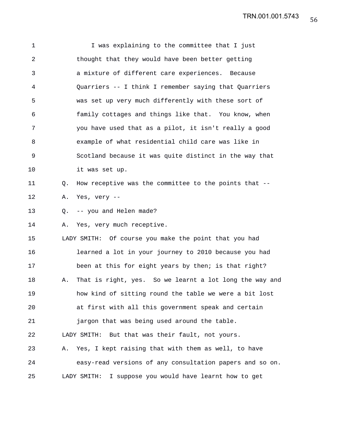1 I was explaining to the committee that I just 2 thought that they would have been better getting 3 a mixture of different care experiences. Because 4 Quarriers -- I think I remember saying that Quarriers 5 was set up very much differently with these sort of 6 family cottages and things like that. You know, when 7 you have used that as a pilot, it isn't really a good 8 example of what residential child care was like in 9 Scotland because it was quite distinct in the way that 10 it was set up. 11 Q. How receptive was the committee to the points that -- 12 A. Yes, very -- 13 0. -- you and Helen made? 14 A. Yes, very much receptive. 15 LADY SMITH: Of course you make the point that you had 16 learned a lot in your journey to 2010 because you had 17 been at this for eight years by then; is that right? 18 A. That is right, yes. So we learnt a lot long the way and 19 how kind of sitting round the table we were a bit lost 20 at first with all this government speak and certain 21 jargon that was being used around the table. 22 LADY SMITH: But that was their fault, not yours. 23 A. Yes, I kept raising that with them as well, to have 24 easy-read versions of any consultation papers and so on. 25 LADY SMITH: I suppose you would have learnt how to get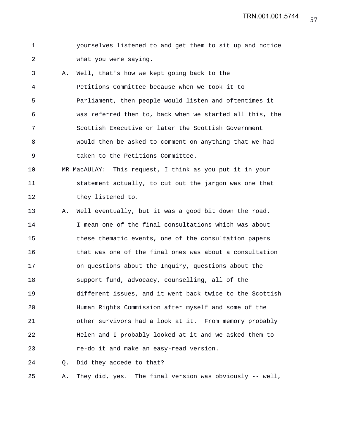1 yourselves listened to and get them to sit up and notice 2 what you were saying.

3 A. Well, that's how we kept going back to the 4 Petitions Committee because when we took it to 5 Parliament, then people would listen and oftentimes it 6 was referred then to, back when we started all this, the 7 Scottish Executive or later the Scottish Government 8 would then be asked to comment on anything that we had 9 taken to the Petitions Committee.

10 MR MacAULAY: This request, I think as you put it in your 11 statement actually, to cut out the jargon was one that 12 they listened to.

13 A. Well eventually, but it was a good bit down the road. 14 I mean one of the final consultations which was about 15 these thematic events, one of the consultation papers 16 that was one of the final ones was about a consultation 17 on questions about the Inquiry, questions about the 18 support fund, advocacy, counselling, all of the 19 different issues, and it went back twice to the Scottish 20 Human Rights Commission after myself and some of the 21 other survivors had a look at it. From memory probably 22 Helen and I probably looked at it and we asked them to 23 re-do it and make an easy-read version.

24 Q. Did they accede to that?

25 A. They did, yes. The final version was obviously -- well,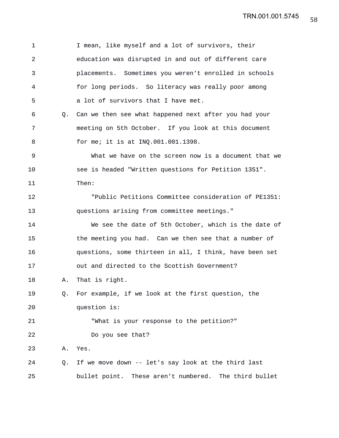| $\mathbf 1$ |    | I mean, like myself and a lot of survivors, their           |
|-------------|----|-------------------------------------------------------------|
| 2           |    | education was disrupted in and out of different care        |
| 3           |    | placements. Sometimes you weren't enrolled in schools       |
| 4           |    | for long periods. So literacy was really poor among         |
| 5           |    | a lot of survivors that I have met.                         |
| 6           | 0. | Can we then see what happened next after you had your       |
| 7           |    | meeting on 5th October. If you look at this document        |
| 8           |    | for me; it is at INQ.001.001.1398.                          |
| 9           |    | What we have on the screen now is a document that we        |
| 10          |    | see is headed "Written questions for Petition 1351".        |
| 11          |    | Then:                                                       |
| 12          |    | "Public Petitions Committee consideration of PE1351:        |
| 13          |    | questions arising from committee meetings."                 |
| 14          |    | We see the date of 5th October, which is the date of        |
| 15          |    | the meeting you had. Can we then see that a number of       |
| 16          |    | questions, some thirteen in all, I think, have been set     |
| 17          |    | out and directed to the Scottish Government?                |
| 18          | Α. | That is right.                                              |
| 19          | Q. | For example, if we look at the first question, the          |
| 20          |    | question is:                                                |
| 21          |    | "What is your response to the petition?"                    |
| 22          |    | Do you see that?                                            |
| 23          | Α. | Yes.                                                        |
| 24          | Q. | If we move down -- let's say look at the third last         |
| 25          |    | bullet point.<br>These aren't numbered.<br>The third bullet |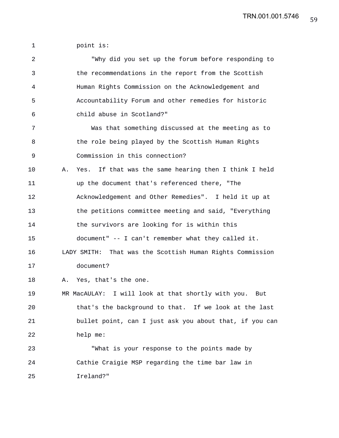1 point is:

| $\overline{2}$ | "Why did you set up the forum before responding to          |
|----------------|-------------------------------------------------------------|
| 3              | the recommendations in the report from the Scottish         |
| 4              | Human Rights Commission on the Acknowledgement and          |
| 5              | Accountability Forum and other remedies for historic        |
| 6              | child abuse in Scotland?"                                   |
| 7              | Was that something discussed at the meeting as to           |
| 8              | the role being played by the Scottish Human Rights          |
| 9              | Commission in this connection?                              |
| 10             | Yes. If that was the same hearing then I think I held<br>Α. |
| 11             | up the document that's referenced there, "The               |
| 12             | Acknowledgement and Other Remedies". I held it up at        |
| 13             | the petitions committee meeting and said, "Everything       |
| 14             | the survivors are looking for is within this                |
| 15             | document" -- I can't remember what they called it.          |
| 16             | LADY SMITH: That was the Scottish Human Rights Commission   |
| 17             | document?                                                   |
| 18             | Yes, that's the one.<br>Α.                                  |
| 19             | MR MacAULAY: I will look at that shortly with you.<br>But   |
| 20             | that's the background to that. If we look at the last       |
| 21             | bullet point, can I just ask you about that, if you can     |
| 22             | help me:                                                    |
| 23             | "What is your response to the points made by                |
| 24             | Cathie Craigie MSP regarding the time bar law in            |
| 25             | Ireland?"                                                   |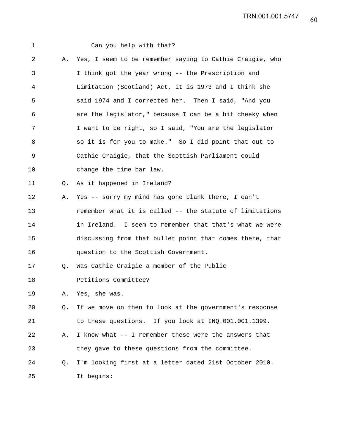| 1  |    | Can you help with that?                                  |
|----|----|----------------------------------------------------------|
| 2  | Α. | Yes, I seem to be remember saying to Cathie Craigie, who |
| 3  |    | I think got the year wrong -- the Prescription and       |
| 4  |    | Limitation (Scotland) Act, it is 1973 and I think she    |
| 5  |    | said 1974 and I corrected her. Then I said, "And you     |
| 6  |    | are the legislator," because I can be a bit cheeky when  |
| 7  |    | I want to be right, so I said, "You are the legislator   |
| 8  |    | so it is for you to make." So I did point that out to    |
| 9  |    | Cathie Craigie, that the Scottish Parliament could       |
| 10 |    | change the time bar law.                                 |
| 11 | O. | As it happened in Ireland?                               |
| 12 | Α. | Yes -- sorry my mind has gone blank there, I can't       |
| 13 |    | remember what it is called -- the statute of limitations |
| 14 |    | in Ireland. I seem to remember that that's what we were  |
| 15 |    | discussing from that bullet point that comes there, that |
| 16 |    | question to the Scottish Government.                     |
| 17 | Q. | Was Cathie Craigie a member of the Public                |
| 18 |    | Petitions Committee?                                     |
| 19 | Α. | Yes, she was.                                            |
| 20 | Q. | If we move on then to look at the government's response  |
| 21 |    | to these questions. If you look at INQ.001.001.1399.     |
| 22 | Α. | I know what -- I remember these were the answers that    |
| 23 |    | they gave to these questions from the committee.         |
| 24 | Q. | I'm looking first at a letter dated 21st October 2010.   |
| 25 |    | It begins:                                               |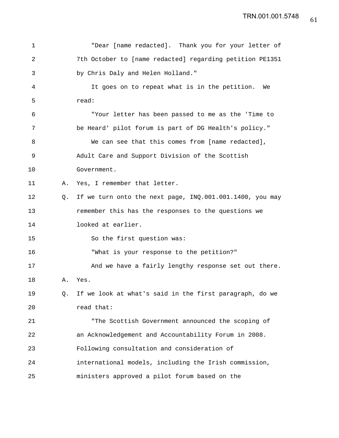| 1  |    | "Dear [name redacted]. Thank you for your letter of      |
|----|----|----------------------------------------------------------|
| 2  |    | 7th October to [name redacted] regarding petition PE1351 |
| 3  |    | by Chris Daly and Helen Holland."                        |
| 4  |    | It goes on to repeat what is in the petition. We         |
| 5  |    | read:                                                    |
| 6  |    | "Your letter has been passed to me as the 'Time to       |
| 7  |    | be Heard' pilot forum is part of DG Health's policy."    |
| 8  |    | We can see that this comes from [name redacted],         |
| 9  |    | Adult Care and Support Division of the Scottish          |
| 10 |    | Government.                                              |
| 11 | Α. | Yes, I remember that letter.                             |
| 12 | Q. | If we turn onto the next page, INQ.001.001.1400, you may |
| 13 |    | remember this has the responses to the questions we      |
| 14 |    | looked at earlier.                                       |
| 15 |    | So the first question was:                               |
| 16 |    | "What is your response to the petition?"                 |
| 17 |    | And we have a fairly lengthy response set out there.     |
| 18 | Α. | Yes.                                                     |
| 19 | Q. | If we look at what's said in the first paragraph, do we  |
| 20 |    | read that:                                               |
| 21 |    | "The Scottish Government announced the scoping of        |
| 22 |    | an Acknowledgement and Accountability Forum in 2008.     |
| 23 |    | Following consultation and consideration of              |
| 24 |    | international models, including the Irish commission,    |
| 25 |    | ministers approved a pilot forum based on the            |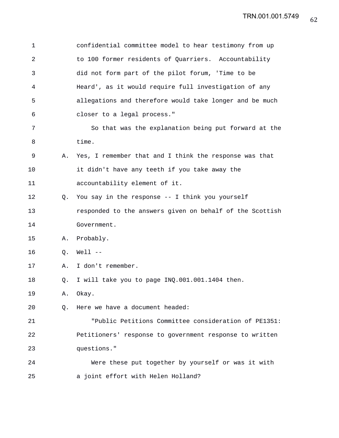| $\mathbf 1$ |    | confidential committee model to hear testimony from up   |
|-------------|----|----------------------------------------------------------|
| 2           |    | to 100 former residents of Quarriers. Accountability     |
| 3           |    | did not form part of the pilot forum, 'Time to be        |
| 4           |    | Heard', as it would require full investigation of any    |
| 5           |    | allegations and therefore would take longer and be much  |
| 6           |    | closer to a legal process."                              |
| 7           |    | So that was the explanation being put forward at the     |
| 8           |    | time.                                                    |
| 9           | Α. | Yes, I remember that and I think the response was that   |
| 10          |    | it didn't have any teeth if you take away the            |
| 11          |    | accountability element of it.                            |
| 12          | Q. | You say in the response -- I think you yourself          |
| 13          |    | responded to the answers given on behalf of the Scottish |
| 14          |    | Government.                                              |
| 15          | Α. | Probably.                                                |
| 16          | O. | $Well1$ --                                               |
| 17          | Α. | I don't remember.                                        |
| 18          | Q. | I will take you to page INQ.001.001.1404 then.           |
| 19          | Α. | Okay.                                                    |
| 20          | Q. | Here we have a document headed:                          |
| 21          |    | "Public Petitions Committee consideration of PE1351:     |
| 22          |    | Petitioners' response to government response to written  |
| 23          |    | questions."                                              |
| 24          |    | Were these put together by yourself or was it with       |
| 25          |    | a joint effort with Helen Holland?                       |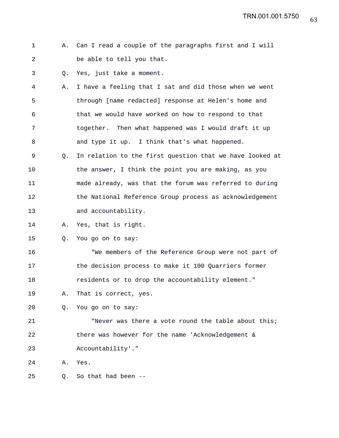```
1 A. Can I read a couple of the paragraphs first and I will
2 be able to tell you that.
```
3 Q. Yes, just take a moment.

- 4 A. I have a feeling that I sat and did those when we went 5 through [name redacted] response at Helen's home and 6 that we would have worked on how to respond to that 7 together. Then what happened was I would draft it up 8 and type it up. I think that's what happened.
- 9 Q. In relation to the first question that we have looked at 10 the answer, I think the point you are making, as you 11 made already, was that the forum was referred to during 12 the National Reference Group process as acknowledgement 13 and accountability.
- 14 A. Yes, that is right.

15 Q. You go on to say:

16 "We members of the Reference Group were not part of 17 the decision process to make it 100 Quarriers former 18 residents or to drop the accountability element."

- 19 A. That is correct, yes.
- 20 Q. You go on to say:

21 "Never was there a vote round the table about this; 22 there was however for the name 'Acknowledgement & 23 Accountability'."

24 A. Yes.

25 Q. So that had been --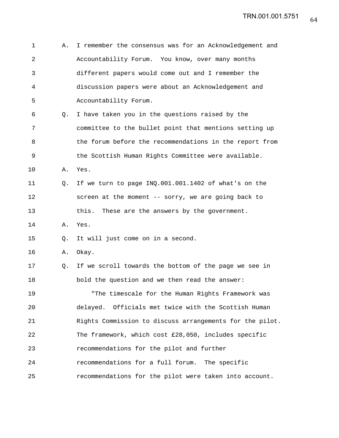| 1              | Α. | I remember the consensus was for an Acknowledgement and  |
|----------------|----|----------------------------------------------------------|
| $\overline{a}$ |    | Accountability Forum. You know, over many months         |
| 3              |    | different papers would come out and I remember the       |
| 4              |    | discussion papers were about an Acknowledgement and      |
| 5              |    | Accountability Forum.                                    |
| 6              | Q. | I have taken you in the questions raised by the          |
| 7              |    | committee to the bullet point that mentions setting up   |
| 8              |    | the forum before the recommendations in the report from  |
| 9              |    | the Scottish Human Rights Committee were available.      |
| 10             | Α. | Yes.                                                     |
| 11             | Q. | If we turn to page INQ.001.001.1402 of what's on the     |
| 12             |    | screen at the moment -- sorry, we are going back to      |
| 13             |    | this.<br>These are the answers by the government.        |
| 14             | Α. | Yes.                                                     |
| 15             | Q. | It will just come on in a second.                        |
| 16             | Α. | Okay.                                                    |
| 17             | Q. | If we scroll towards the bottom of the page we see in    |
| 18             |    | bold the question and we then read the answer:           |
| 19             |    | "The timescale for the Human Rights Framework was        |
| 20             |    | delayed. Officials met twice with the Scottish Human     |
| 21             |    | Rights Commission to discuss arrangements for the pilot. |
| 22             |    | The framework, which cost £28,050, includes specific     |
| 23             |    | recommendations for the pilot and further                |
| 24             |    | recommendations for a full forum. The specific           |
| 25             |    | recommendations for the pilot were taken into account.   |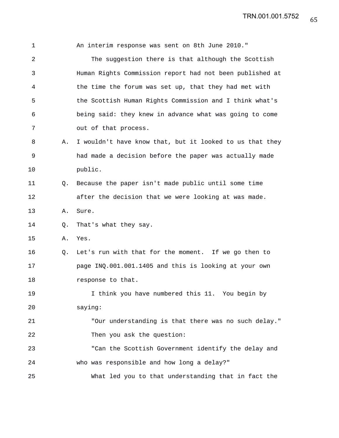1 An interim response was sent on 8th June 2010." 2 The suggestion there is that although the Scottish 3 Human Rights Commission report had not been published at 4 the time the forum was set up, that they had met with 5 the Scottish Human Rights Commission and I think what's 6 being said: they knew in advance what was going to come 7 out of that process. 8 A. I wouldn't have know that, but it looked to us that they 9 had made a decision before the paper was actually made 10 public. 11 Q. Because the paper isn't made public until some time 12 after the decision that we were looking at was made. 13 A. Sure. 14 Q. That's what they say. 15 A. Yes. 16 Q. Let's run with that for the moment. If we go then to 17 page INQ.001.001.1405 and this is looking at your own 18 response to that. 19 I think you have numbered this 11. You begin by 20 saying: 21 "Our understanding is that there was no such delay." 22 Then you ask the question: 23 "Can the Scottish Government identify the delay and 24 who was responsible and how long a delay?" 25 What led you to that understanding that in fact the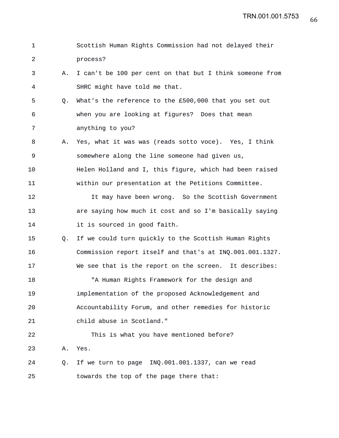| 1  |    | Scottish Human Rights Commission had not delayed their   |
|----|----|----------------------------------------------------------|
| 2  |    | process?                                                 |
| 3  | Α. | I can't be 100 per cent on that but I think someone from |
| 4  |    | SHRC might have told me that.                            |
| 5  | Q. | What's the reference to the £500,000 that you set out    |
| 6  |    | when you are looking at figures? Does that mean          |
| 7  |    | anything to you?                                         |
| 8  | Α. | Yes, what it was was (reads sotto voce). Yes, I think    |
| 9  |    | somewhere along the line someone had given us,           |
| 10 |    | Helen Holland and I, this figure, which had been raised  |
| 11 |    | within our presentation at the Petitions Committee.      |
| 12 |    | It may have been wrong. So the Scottish Government       |
| 13 |    | are saying how much it cost and so I'm basically saying  |
| 14 |    | it is sourced in good faith.                             |
| 15 | Q. | If we could turn quickly to the Scottish Human Rights    |
| 16 |    | Commission report itself and that's at INQ.001.001.1327. |
| 17 |    | We see that is the report on the screen. It describes:   |
| 18 |    | "A Human Rights Framework for the design and             |
| 19 |    | implementation of the proposed Acknowledgement and       |
| 20 |    | Accountability Forum, and other remedies for historic    |
| 21 |    | child abuse in Scotland."                                |
| 22 |    | This is what you have mentioned before?                  |
| 23 | Α. | Yes.                                                     |
| 24 | Q. | If we turn to page INQ.001.001.1337, can we read         |
| 25 |    | towards the top of the page there that:                  |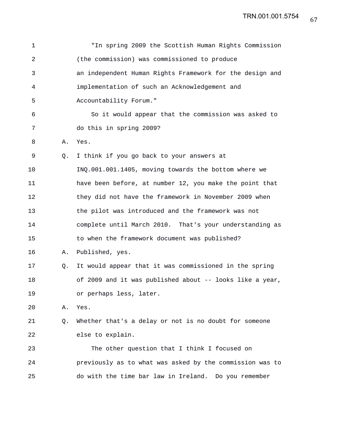| $\mathbf 1$    |    | "In spring 2009 the Scottish Human Rights Commission     |
|----------------|----|----------------------------------------------------------|
| $\overline{a}$ |    | (the commission) was commissioned to produce             |
| 3              |    | an independent Human Rights Framework for the design and |
| 4              |    | implementation of such an Acknowledgement and            |
| 5              |    | Accountability Forum."                                   |
| 6              |    | So it would appear that the commission was asked to      |
| 7              |    | do this in spring 2009?                                  |
| 8              | Α. | Yes.                                                     |
| 9              | Q. | I think if you go back to your answers at                |
| 10             |    | INQ.001.001.1405, moving towards the bottom where we     |
| 11             |    | have been before, at number 12, you make the point that  |
| 12             |    | they did not have the framework in November 2009 when    |
| 13             |    | the pilot was introduced and the framework was not       |
| 14             |    | complete until March 2010. That's your understanding as  |
| 15             |    | to when the framework document was published?            |
| 16             | Α. | Published, yes.                                          |
| 17             | Q. | It would appear that it was commissioned in the spring   |
| 18             |    | of 2009 and it was published about -- looks like a year, |
| 19             |    | or perhaps less, later.                                  |
| 20             | Α. | Yes.                                                     |
| 21             | Q. | Whether that's a delay or not is no doubt for someone    |
| 22             |    | else to explain.                                         |
| 23             |    | The other question that I think I focused on             |
| 24             |    | previously as to what was asked by the commission was to |
| 25             |    | do with the time bar law in Ireland. Do you remember     |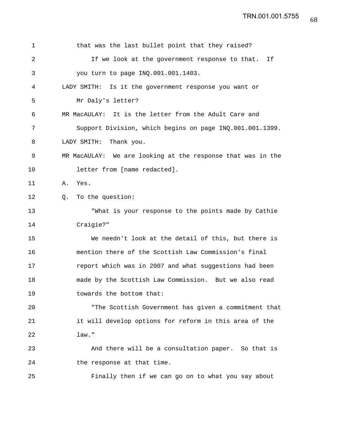| 1  | that was the last bullet point that they raised?            |
|----|-------------------------------------------------------------|
| 2  | If we look at the government response to that.<br>Ιf        |
| 3  | you turn to page INQ.001.001.1403.                          |
| 4  | LADY SMITH: Is it the government response you want or       |
| 5  | Mr Daly's letter?                                           |
| 6  | MR MacAULAY: It is the letter from the Adult Care and       |
| 7  | Support Division, which begins on page INQ.001.001.1399.    |
| 8  | Thank you.<br>LADY SMITH:                                   |
| 9  | MR MacAULAY: We are looking at the response that was in the |
| 10 | letter from [name redacted].                                |
| 11 | Yes.<br>Α.                                                  |
| 12 | To the question:<br>Q.                                      |
| 13 | "What is your response to the points made by Cathie         |
| 14 | Craigie?"                                                   |
| 15 | We needn't look at the detail of this, but there is         |
| 16 | mention there of the Scottish Law Commission's final        |
| 17 | report which was in 2007 and what suggestions had been      |
| 18 | made by the Scottish Law Commission. But we also read       |
| 19 | towards the bottom that:                                    |
| 20 | "The Scottish Government has given a commitment that        |
| 21 | it will develop options for reform in this area of the      |
| 22 | law."                                                       |
| 23 | And there will be a consultation paper. So that is          |
| 24 | the response at that time.                                  |
| 25 | Finally then if we can go on to what you say about          |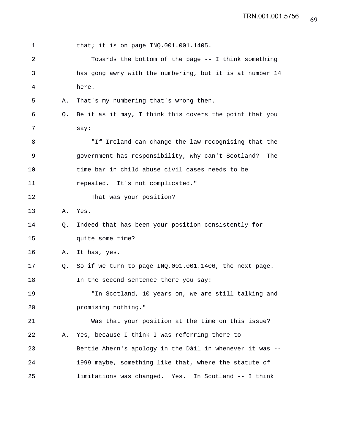| 1  |    | that; it is on page $INQ.001.001.1405$ .                  |
|----|----|-----------------------------------------------------------|
| 2  |    | Towards the bottom of the page -- I think something       |
| 3  |    | has gong awry with the numbering, but it is at number 14  |
| 4  |    | here.                                                     |
| 5  | Α. | That's my numbering that's wrong then.                    |
| 6  | О. | Be it as it may, I think this covers the point that you   |
| 7  |    | say:                                                      |
| 8  |    | "If Ireland can change the law recognising that the       |
| 9  |    | government has responsibility, why can't Scotland?<br>The |
| 10 |    | time bar in child abuse civil cases needs to be           |
| 11 |    | repealed. It's not complicated."                          |
| 12 |    | That was your position?                                   |
| 13 | Α. | Yes.                                                      |
| 14 | Q. | Indeed that has been your position consistently for       |
| 15 |    | quite some time?                                          |
| 16 | Α. | It has, yes.                                              |
| 17 | О. | So if we turn to page INQ.001.001.1406, the next page.    |
| 18 |    | In the second sentence there you say:                     |
| 19 |    | "In Scotland, 10 years on, we are still talking and       |
| 20 |    | promising nothing."                                       |
| 21 |    | Was that your position at the time on this issue?         |
| 22 | Α. | Yes, because I think I was referring there to             |
| 23 |    | Bertie Ahern's apology in the Dáil in whenever it was --  |
| 24 |    | 1999 maybe, something like that, where the statute of     |
| 25 |    | limitations was changed. Yes. In Scotland -- I think      |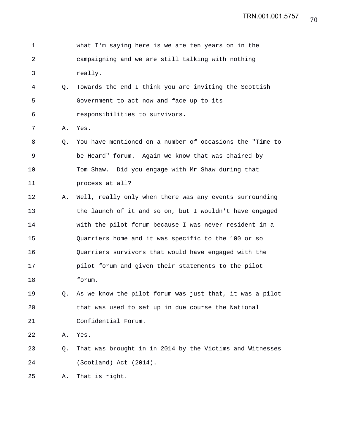| 1           |    | what I'm saying here is we are ten years on in the       |
|-------------|----|----------------------------------------------------------|
| 2           |    | campaigning and we are still talking with nothing        |
| 3           |    | really.                                                  |
| 4           | Q. | Towards the end I think you are inviting the Scottish    |
| 5           |    | Government to act now and face up to its                 |
| 6           |    | responsibilities to survivors.                           |
| 7           | Α. | Yes.                                                     |
| 8           | Q. | You have mentioned on a number of occasions the "Time to |
| $\mathsf 9$ |    | be Heard" forum. Again we know that was chaired by       |
| 10          |    | Tom Shaw. Did you engage with Mr Shaw during that        |
| 11          |    | process at all?                                          |
| 12          | Α. | Well, really only when there was any events surrounding  |
| 13          |    | the launch of it and so on, but I wouldn't have engaged  |
| 14          |    | with the pilot forum because I was never resident in a   |
| 15          |    | Quarriers home and it was specific to the 100 or so      |
| 16          |    | Quarriers survivors that would have engaged with the     |
| 17          |    | pilot forum and given their statements to the pilot      |
| 18          |    | forum.                                                   |
| 19          | Q. | As we know the pilot forum was just that, it was a pilot |
| 20          |    | that was used to set up in due course the National       |
| 21          |    | Confidential Forum.                                      |
| 22          | Α. | Yes.                                                     |
| 23          | Q. | That was brought in in 2014 by the Victims and Witnesses |
| 24          |    | (Scotland) Act (2014).                                   |
| 25          | Α. | That is right.                                           |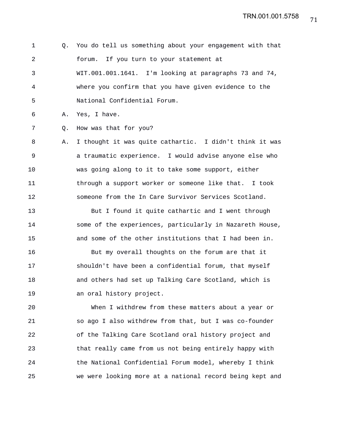1 Q. You do tell us something about your engagement with that 2 forum. If you turn to your statement at 3 WIT.001.001.1641. I'm looking at paragraphs 73 and 74, 4 where you confirm that you have given evidence to the 5 National Confidential Forum.

6 A. Yes, I have.

7 Q. How was that for you?

8 A. I thought it was quite cathartic. I didn't think it was 9 a traumatic experience. I would advise anyone else who 10 was going along to it to take some support, either 11 through a support worker or someone like that. I took 12 someone from the In Care Survivor Services Scotland.

13 But I found it quite cathartic and I went through 14 some of the experiences, particularly in Nazareth House, 15 and some of the other institutions that I had been in.

16 But my overall thoughts on the forum are that it 17 shouldn't have been a confidential forum, that myself 18 and others had set up Talking Care Scotland, which is 19 an oral history project.

20 When I withdrew from these matters about a year or 21 so ago I also withdrew from that, but I was co-founder 22 of the Talking Care Scotland oral history project and 23 that really came from us not being entirely happy with 24 the National Confidential Forum model, whereby I think 25 we were looking more at a national record being kept and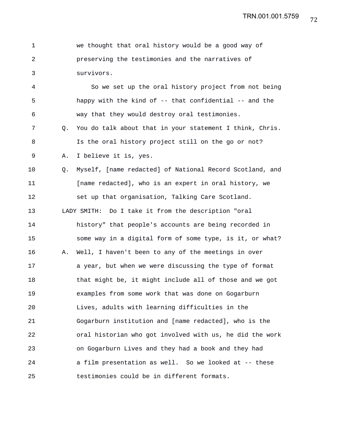| we thought that oral history would be a good way of |
|-----------------------------------------------------|
| preserving the testimonies and the narratives of    |
| survivors.                                          |

4 So we set up the oral history project from not being 5 happy with the kind of -- that confidential -- and the 6 way that they would destroy oral testimonies. 7 Q. You do talk about that in your statement I think, Chris. 8 Is the oral history project still on the go or not? 9 A. I believe it is, yes. 10 Q. Myself, [name redacted] of National Record Scotland, and 11 [name redacted], who is an expert in oral history, we 12 set up that organisation, Talking Care Scotland. 13 LADY SMITH: Do I take it from the description "oral 14 history" that people's accounts are being recorded in 15 some way in a digital form of some type, is it, or what? 16 A. Well, I haven't been to any of the meetings in over 17 **a** year, but when we were discussing the type of format 18 that might be, it might include all of those and we got 19 examples from some work that was done on Gogarburn 20 Lives, adults with learning difficulties in the 21 Gogarburn institution and [name redacted], who is the 22 oral historian who got involved with us, he did the work 23 on Gogarburn Lives and they had a book and they had 24 a film presentation as well. So we looked at -- these 25 testimonies could be in different formats.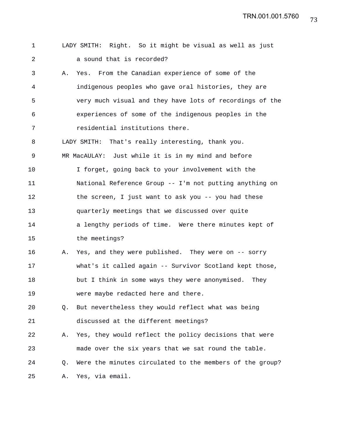| 1  |    | LADY SMITH: Right. So it might be visual as well as just |
|----|----|----------------------------------------------------------|
| 2  |    | a sound that is recorded?                                |
| 3  | Α. | Yes. From the Canadian experience of some of the         |
| 4  |    | indigenous peoples who gave oral histories, they are     |
| 5  |    | very much visual and they have lots of recordings of the |
| 6  |    | experiences of some of the indigenous peoples in the     |
| 7  |    | residential institutions there.                          |
| 8  |    | LADY SMITH: That's really interesting, thank you.        |
| 9  |    | MR MacAULAY: Just while it is in my mind and before      |
| 10 |    | I forget, going back to your involvement with the        |
| 11 |    | National Reference Group -- I'm not putting anything on  |
| 12 |    | the screen, I just want to ask you -- you had these      |
| 13 |    | quarterly meetings that we discussed over quite          |
| 14 |    | a lengthy periods of time. Were there minutes kept of    |
| 15 |    | the meetings?                                            |
| 16 | Α. | Yes, and they were published. They were on -- sorry      |
| 17 |    | what's it called again -- Survivor Scotland kept those,  |
| 18 |    | but I think in some ways they were anonymised.<br>They   |
| 19 |    | were maybe redacted here and there.                      |
| 20 | Q. | But nevertheless they would reflect what was being       |
| 21 |    | discussed at the different meetings?                     |
| 22 | Α. | Yes, they would reflect the policy decisions that were   |
| 23 |    | made over the six years that we sat round the table.     |
| 24 | Q. | Were the minutes circulated to the members of the group? |
| 25 | Α. | Yes, via email.                                          |
|    |    |                                                          |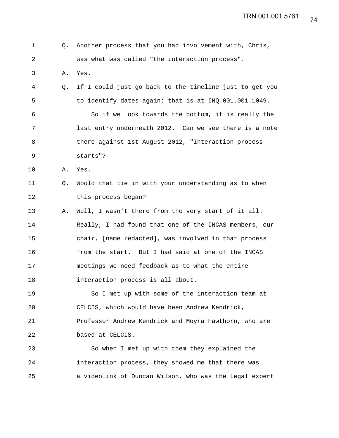| 1  | О. | Another process that you had involvement with, Chris,   |
|----|----|---------------------------------------------------------|
| 2  |    | was what was called "the interaction process".          |
| 3  | Α. | Yes.                                                    |
| 4  | O. | If I could just go back to the timeline just to get you |
| 5  |    | to identify dates again; that is at INQ.001.001.1049.   |
| 6  |    | So if we look towards the bottom, it is really the      |
| 7  |    | last entry underneath 2012. Can we see there is a note  |
| 8  |    | there against 1st August 2012, "Interaction process     |
| 9  |    | starts"?                                                |
| 10 | Α. | Yes.                                                    |
| 11 | Q. | Would that tie in with your understanding as to when    |
| 12 |    | this process began?                                     |
| 13 | Α. | Well, I wasn't there from the very start of it all.     |
| 14 |    | Really, I had found that one of the INCAS members, our  |
| 15 |    | chair, [name redacted], was involved in that process    |
| 16 |    | from the start. But I had said at one of the INCAS      |
| 17 |    | meetings we need feedback as to what the entire         |
| 18 |    | interaction process is all about.                       |
| 19 |    | So I met up with some of the interaction team at        |
| 20 |    | CELCIS, which would have been Andrew Kendrick,          |
| 21 |    | Professor Andrew Kendrick and Moyra Hawthorn, who are   |
| 22 |    | based at CELCIS.                                        |
| 23 |    | So when I met up with them they explained the           |
| 24 |    | interaction process, they showed me that there was      |
| 25 |    | a videolink of Duncan Wilson, who was the legal expert  |
|    |    |                                                         |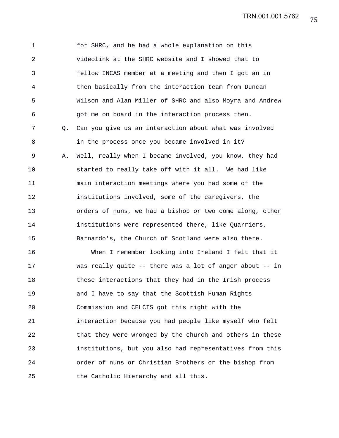TRN.001.001.5762

1 for SHRC, and he had a whole explanation on this 2 videolink at the SHRC website and I showed that to 3 fellow INCAS member at a meeting and then I got an in 4 then basically from the interaction team from Duncan 5 Wilson and Alan Miller of SHRC and also Moyra and Andrew 6 got me on board in the interaction process then. 7 Q. Can you give us an interaction about what was involved 8 in the process once you became involved in it? 9 A. Well, really when I became involved, you know, they had 10 started to really take off with it all. We had like 11 main interaction meetings where you had some of the 12 institutions involved, some of the caregivers, the 13 orders of nuns, we had a bishop or two come along, other 14 institutions were represented there, like Quarriers, 15 Barnardo's, the Church of Scotland were also there. 16 When I remember looking into Ireland I felt that it 17 was really quite -- there was a lot of anger about -- in 18 these interactions that they had in the Irish process 19 and I have to say that the Scottish Human Rights 20 Commission and CELCIS got this right with the 21 interaction because you had people like myself who felt 22 that they were wronged by the church and others in these 23 institutions, but you also had representatives from this 24 order of nuns or Christian Brothers or the bishop from 25 the Catholic Hierarchy and all this.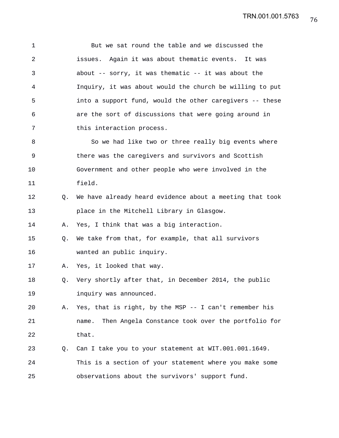1 But we sat round the table and we discussed the 2 issues. Again it was about thematic events. It was 3 about -- sorry, it was thematic -- it was about the 4 Inquiry, it was about would the church be willing to put 5 into a support fund, would the other caregivers -- these 6 are the sort of discussions that were going around in 7 this interaction process. 8 So we had like two or three really big events where 9 there was the caregivers and survivors and Scottish 10 Government and other people who were involved in the 11 field. 12 Q. We have already heard evidence about a meeting that took 13 place in the Mitchell Library in Glasgow. 14 A. Yes, I think that was a big interaction. 15 Q. We take from that, for example, that all survivors 16 wanted an public inquiry. 17 A. Yes, it looked that way. 18 Q. Very shortly after that, in December 2014, the public 19 inquiry was announced. 20 A. Yes, that is right, by the MSP -- I can't remember his 21 name. Then Angela Constance took over the portfolio for 22 that. 23 Q. Can I take you to your statement at WIT.001.001.1649. 24 This is a section of your statement where you make some 25 observations about the survivors' support fund.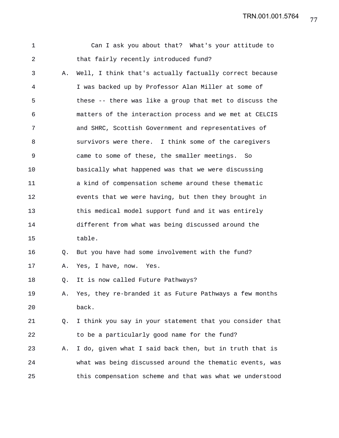TRN.001.001.5764

| $\mathbf 1$ |    | Can I ask you about that? What's your attitude to        |
|-------------|----|----------------------------------------------------------|
| 2           |    | that fairly recently introduced fund?                    |
| 3           | Α. | Well, I think that's actually factually correct because  |
| 4           |    | I was backed up by Professor Alan Miller at some of      |
| 5           |    | these -- there was like a group that met to discuss the  |
| 6           |    | matters of the interaction process and we met at CELCIS  |
| 7           |    | and SHRC, Scottish Government and representatives of     |
| 8           |    | survivors were there. I think some of the caregivers     |
| $\mathsf 9$ |    | came to some of these, the smaller meetings.<br>So       |
| 10          |    | basically what happened was that we were discussing      |
| 11          |    | a kind of compensation scheme around these thematic      |
| 12          |    | events that we were having, but then they brought in     |
| 13          |    | this medical model support fund and it was entirely      |
| 14          |    | different from what was being discussed around the       |
| 15          |    | table.                                                   |
| 16          | Q. | But you have had some involvement with the fund?         |
| 17          | Α. | Yes, I have, now. Yes.                                   |
| 18          | Q. | It is now called Future Pathways?                        |
| 19          | Α. | Yes, they re-branded it as Future Pathways a few months  |
| 20          |    | back.                                                    |
| 21          | Q. | I think you say in your statement that you consider that |
| 22          |    | to be a particularly good name for the fund?             |
| 23          | Α. | I do, given what I said back then, but in truth that is  |
| 24          |    | what was being discussed around the thematic events, was |
| 25          |    | this compensation scheme and that was what we understood |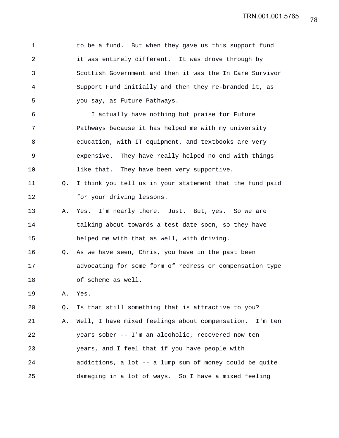1 to be a fund. But when they gave us this support fund 2 it was entirely different. It was drove through by 3 Scottish Government and then it was the In Care Survivor 4 Support Fund initially and then they re-branded it, as 5 you say, as Future Pathways. 6 I actually have nothing but praise for Future 7 Pathways because it has helped me with my university 8 education, with IT equipment, and textbooks are very 9 expensive. They have really helped no end with things 10 like that. They have been very supportive. 11 Q. I think you tell us in your statement that the fund paid 12 for your driving lessons. 13 A. Yes. I'm nearly there. Just. But, yes. So we are 14 talking about towards a test date soon, so they have 15 helped me with that as well, with driving. 16 Q. As we have seen, Chris, you have in the past been 17 advocating for some form of redress or compensation type 18 of scheme as well. 19 A. Yes. 20 Q. Is that still something that is attractive to you? 21 A. Well, I have mixed feelings about compensation. I'm ten 22 years sober -- I'm an alcoholic, recovered now ten 23 years, and I feel that if you have people with 24 addictions, a lot -- a lump sum of money could be quite 25 damaging in a lot of ways. So I have a mixed feeling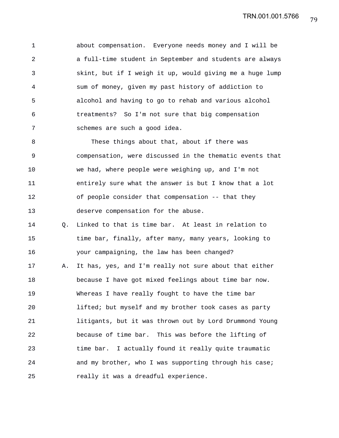1 about compensation. Everyone needs money and I will be 2 a full-time student in September and students are always 3 skint, but if I weigh it up, would giving me a huge lump 4 sum of money, given my past history of addiction to 5 alcohol and having to go to rehab and various alcohol 6 treatments? So I'm not sure that big compensation 7 schemes are such a good idea.

8 These things about that, about if there was 9 compensation, were discussed in the thematic events that 10 we had, where people were weighing up, and I'm not 11 entirely sure what the answer is but I know that a lot 12 of people consider that compensation -- that they 13 deserve compensation for the abuse.

14 Q. Linked to that is time bar. At least in relation to 15 time bar, finally, after many, many years, looking to 16 your campaigning, the law has been changed? 17 A. It has, yes, and I'm really not sure about that either 18 because I have got mixed feelings about time bar now. 19 Whereas I have really fought to have the time bar 20 lifted; but myself and my brother took cases as party 21 litigants, but it was thrown out by Lord Drummond Young 22 because of time bar. This was before the lifting of 23 time bar. I actually found it really quite traumatic 24 and my brother, who I was supporting through his case; 25 really it was a dreadful experience.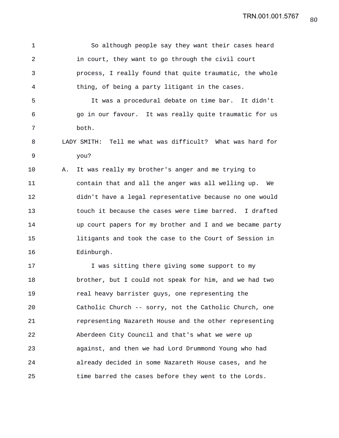1 So although people say they want their cases heard 2 in court, they want to go through the civil court 3 process, I really found that quite traumatic, the whole 4 thing, of being a party litigant in the cases. 5 It was a procedural debate on time bar. It didn't 6 go in our favour. It was really quite traumatic for us 7 both. 8 LADY SMITH: Tell me what was difficult? What was hard for 9 you? 10 A. It was really my brother's anger and me trying to 11 contain that and all the anger was all welling up. We 12 didn't have a legal representative because no one would 13 touch it because the cases were time barred. I drafted 14 up court papers for my brother and I and we became party 15 litigants and took the case to the Court of Session in 16 Edinburgh. 17 17 I was sitting there giving some support to my 18 brother, but I could not speak for him, and we had two 19 real heavy barrister guys, one representing the 20 Catholic Church -- sorry, not the Catholic Church, one 21 representing Nazareth House and the other representing 22 Aberdeen City Council and that's what we were up 23 against, and then we had Lord Drummond Young who had 24 already decided in some Nazareth House cases, and he 25 time barred the cases before they went to the Lords.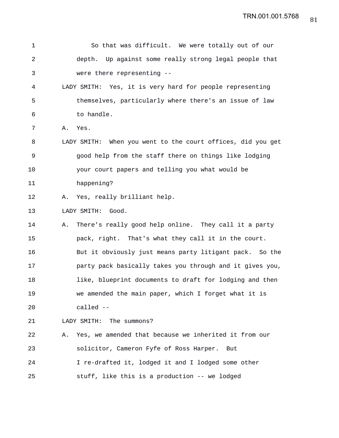| 1              | So that was difficult. We were totally out of our           |
|----------------|-------------------------------------------------------------|
| $\overline{a}$ | depth. Up against some really strong legal people that      |
| 3              | were there representing --                                  |
| 4              | Yes, it is very hard for people representing<br>LADY SMITH: |
| 5              | themselves, particularly where there's an issue of law      |
| 6              | to handle.                                                  |
| 7              | Α.<br>Yes.                                                  |
| 8              | LADY SMITH: When you went to the court offices, did you get |
| $\mathsf 9$    | good help from the staff there on things like lodging       |
| 10             | your court papers and telling you what would be             |
| 11             | happening?                                                  |
| 12             | Yes, really brilliant help.<br>Α.                           |
| 13             | LADY SMITH:<br>Good.                                        |
| 14             | There's really good help online. They call it a party<br>Α. |
| 15             | pack, right. That's what they call it in the court.         |
| 16             | But it obviously just means party litigant pack. So the     |
| 17             | party pack basically takes you through and it gives you,    |
| 18             | like, blueprint documents to draft for lodging and then     |
| 19             | we amended the main paper, which I forget what it is        |
| 20             | called --                                                   |
| 21             | LADY SMITH: The summons?                                    |
| 22             | Yes, we amended that because we inherited it from our<br>Α. |
| 23             | solicitor, Cameron Fyfe of Ross Harper.<br>But              |
| 24             | I re-drafted it, lodged it and I lodged some other          |
| 25             | stuff, like this is a production -- we lodged               |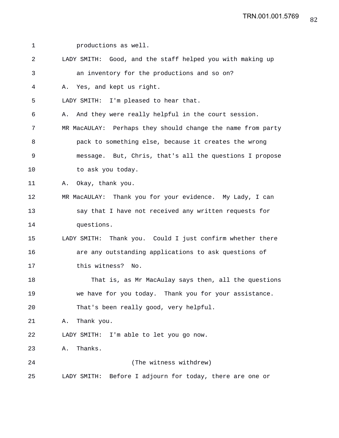1 productions as well. 2 LADY SMITH: Good, and the staff helped you with making up 3 an inventory for the productions and so on? 4 A. Yes, and kept us right. 5 LADY SMITH: I'm pleased to hear that. 6 A. And they were really helpful in the court session. 7 MR MacAULAY: Perhaps they should change the name from party 8 pack to something else, because it creates the wrong 9 message. But, Chris, that's all the questions I propose 10 to ask you today. 11 A. Okay, thank you. 12 MR MacAULAY: Thank you for your evidence. My Lady, I can 13 say that I have not received any written requests for 14 questions. 15 LADY SMITH: Thank you. Could I just confirm whether there 16 are any outstanding applications to ask questions of 17 this witness? No. 18 That is, as Mr MacAulay says then, all the questions 19 we have for you today. Thank you for your assistance. 20 That's been really good, very helpful. 21 A. Thank you. 22 LADY SMITH: I'm able to let you go now. 23 A. Thanks. 24 (The witness withdrew) 25 LADY SMITH: Before I adjourn for today, there are one or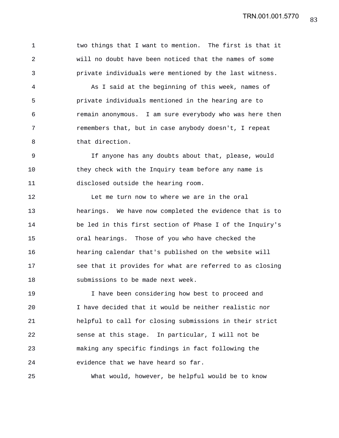1 two things that I want to mention. The first is that it 2 will no doubt have been noticed that the names of some 3 private individuals were mentioned by the last witness.

4 As I said at the beginning of this week, names of 5 private individuals mentioned in the hearing are to 6 remain anonymous. I am sure everybody who was here then 7 remembers that, but in case anybody doesn't, I repeat 8 that direction.

9 If anyone has any doubts about that, please, would 10 they check with the Inquiry team before any name is 11 disclosed outside the hearing room.

12 Let me turn now to where we are in the oral 13 hearings. We have now completed the evidence that is to 14 be led in this first section of Phase I of the Inquiry's 15 oral hearings. Those of you who have checked the 16 hearing calendar that's published on the website will 17 see that it provides for what are referred to as closing 18 submissions to be made next week.

19 I have been considering how best to proceed and 20 I have decided that it would be neither realistic nor 21 helpful to call for closing submissions in their strict 22 sense at this stage. In particular, I will not be 23 making any specific findings in fact following the 24 evidence that we have heard so far.

25 What would, however, be helpful would be to know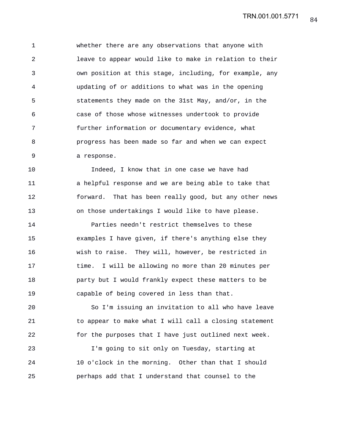1 whether there are any observations that anyone with 2 leave to appear would like to make in relation to their 3 own position at this stage, including, for example, any 4 updating of or additions to what was in the opening 5 statements they made on the 31st May, and/or, in the 6 case of those whose witnesses undertook to provide 7 further information or documentary evidence, what 8 progress has been made so far and when we can expect 9 a response.

10 Indeed, I know that in one case we have had 11 a helpful response and we are being able to take that 12 forward. That has been really good, but any other news 13 on those undertakings I would like to have please.

14 Parties needn't restrict themselves to these 15 examples I have given, if there's anything else they 16 wish to raise. They will, however, be restricted in 17 time. I will be allowing no more than 20 minutes per 18 party but I would frankly expect these matters to be 19 capable of being covered in less than that.

20 So I'm issuing an invitation to all who have leave 21 to appear to make what I will call a closing statement 22 for the purposes that I have just outlined next week.

23 I'm going to sit only on Tuesday, starting at 24 10 o'clock in the morning. Other than that I should 25 perhaps add that I understand that counsel to the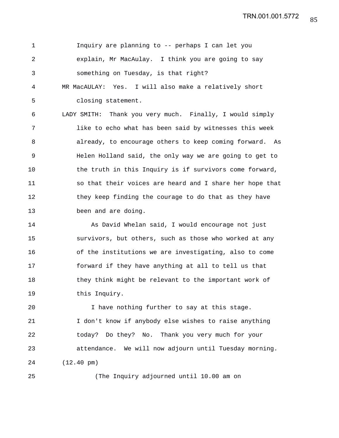1 Inquiry are planning to -- perhaps I can let you 2 explain, Mr MacAulay. I think you are going to say 3 something on Tuesday, is that right? 4 MR MacAULAY: Yes. I will also make a relatively short 5 closing statement. 6 LADY SMITH: Thank you very much. Finally, I would simply 7 like to echo what has been said by witnesses this week 8 already, to encourage others to keep coming forward. As 9 Helen Holland said, the only way we are going to get to 10 the truth in this Inquiry is if survivors come forward, 11 so that their voices are heard and I share her hope that 12 they keep finding the courage to do that as they have 13 been and are doing.

14 As David Whelan said, I would encourage not just 15 survivors, but others, such as those who worked at any 16 of the institutions we are investigating, also to come 17 forward if they have anything at all to tell us that 18 they think might be relevant to the important work of 19 this Inquiry.

20 I have nothing further to say at this stage. 21 I don't know if anybody else wishes to raise anything 22 today? Do they? No. Thank you very much for your 23 attendance. We will now adjourn until Tuesday morning. 24 (12.40 pm)

25 (The Inquiry adjourned until 10.00 am on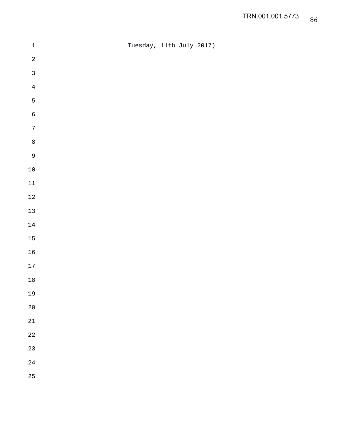| $\ensuremath{\mathbbm{1}}$ | Tuesday, 11th July 2017) |  |  |
|----------------------------|--------------------------|--|--|
| $\sqrt{2}$                 |                          |  |  |
| $\mathfrak{Z}$             |                          |  |  |
| $\overline{4}$             |                          |  |  |
| $\overline{5}$             |                          |  |  |
| $\sqrt{6}$                 |                          |  |  |
| $\boldsymbol{7}$           |                          |  |  |
| $\,8\,$                    |                          |  |  |
| $\overline{9}$             |                          |  |  |
| $10\,$                     |                          |  |  |
| $11\,$                     |                          |  |  |
| $12\,$                     |                          |  |  |
| $13\,$                     |                          |  |  |
| $14\,$                     |                          |  |  |
| $15\,$                     |                          |  |  |
| $16\,$                     |                          |  |  |
| $17\,$                     |                          |  |  |
| $18\,$                     |                          |  |  |
| 19                         |                          |  |  |
| $20\,$                     |                          |  |  |
| $21\,$                     |                          |  |  |
| $2\sqrt{2}$                |                          |  |  |
| 23                         |                          |  |  |
| $2\sqrt{4}$                |                          |  |  |
| 25                         |                          |  |  |